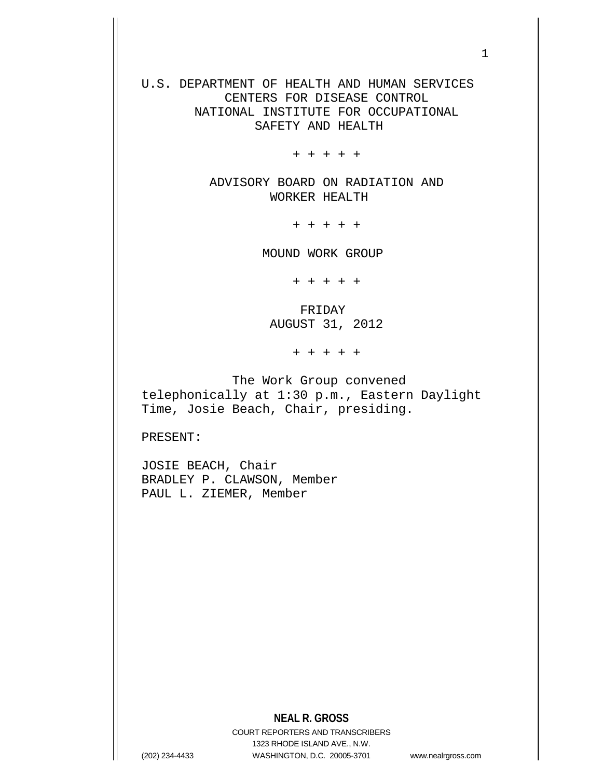U.S. DEPARTMENT OF HEALTH AND HUMAN SERVICES CENTERS FOR DISEASE CONTROL NATIONAL INSTITUTE FOR OCCUPATIONAL SAFETY AND HEALTH

+ + + + +

 ADVISORY BOARD ON RADIATION AND WORKER HEALTH

+ + + + +

MOUND WORK GROUP

+ + + + +

 FRIDAY AUGUST 31, 2012

+ + + + +

 The Work Group convened telephonically at 1:30 p.m., Eastern Daylight Time, Josie Beach, Chair, presiding.

PRESENT:

JOSIE BEACH, Chair BRADLEY P. CLAWSON, Member PAUL L. ZIEMER, Member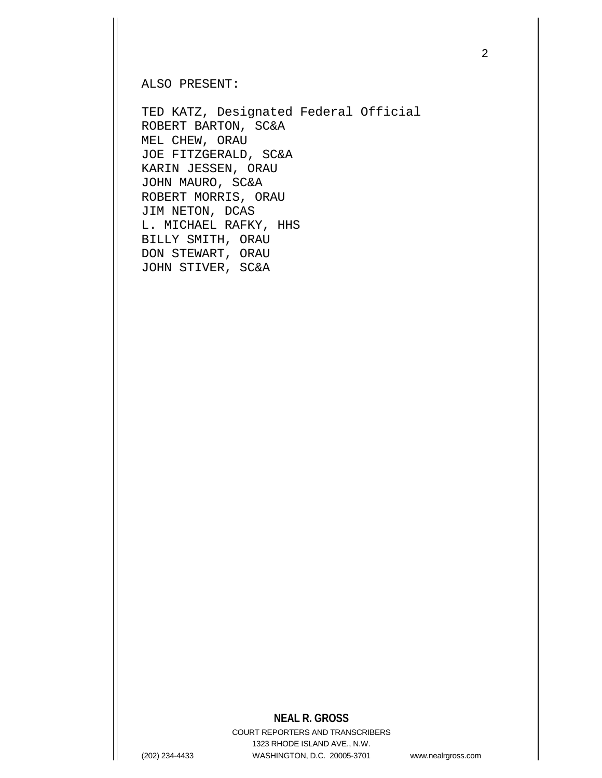ALSO PRESENT:

TED KATZ, Designated Federal Official ROBERT BARTON, SC&A MEL CHEW, ORAU JOE FITZGERALD, SC&A KARIN JESSEN, ORAU JOHN MAURO, SC&A ROBERT MORRIS, ORAU JIM NETON, DCAS L. MICHAEL RAFKY, HHS BILLY SMITH, ORAU DON STEWART, ORAU JOHN STIVER, SC&A

### **NEAL R. GROSS**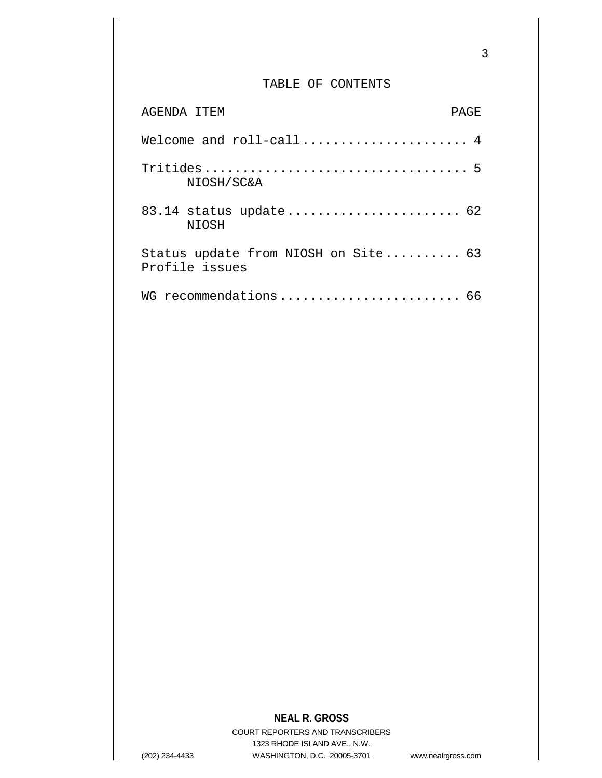### TABLE OF CONTENTS

| AGENDA ITEM                                           | PAGE |
|-------------------------------------------------------|------|
|                                                       |      |
| NIOSH/SC&A                                            |      |
| 83.14 status update 62<br><b>NIOSH</b>                |      |
| Status update from NIOSH on Site 63<br>Profile issues |      |
| WG recommendations 66                                 |      |

## **NEAL R. GROSS**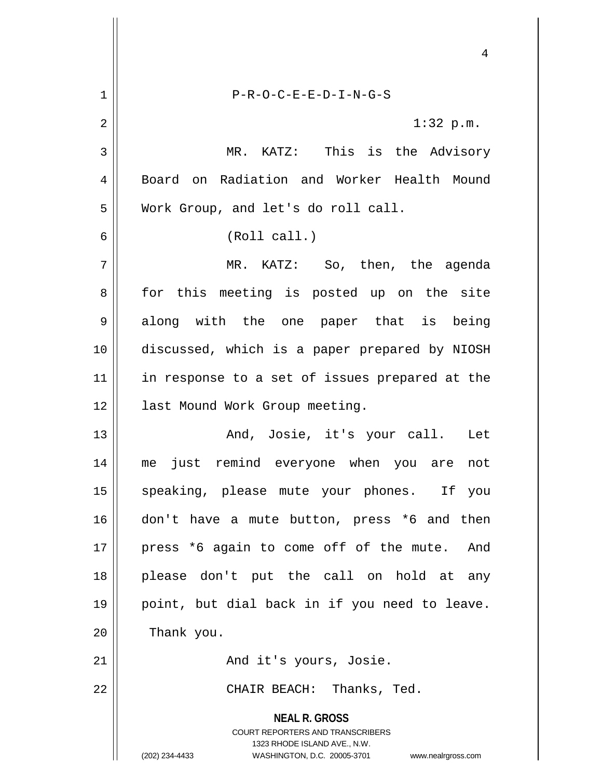**NEAL R. GROSS** COURT REPORTERS AND TRANSCRIBERS 1323 RHODE ISLAND AVE., N.W. 4 1 P-R-O-C-E-E-D-I-N-G-S 2  $\parallel$  1:32 p.m. 3 MR. KATZ: This is the Advisory 4 Board on Radiation and Worker Health Mound 5 Work Group, and let's do roll call. 6 (Roll call.) 7 MR. KATZ: So, then, the agenda 8 for this meeting is posted up on the site 9 along with the one paper that is being 10 discussed, which is a paper prepared by NIOSH 11 || in response to a set of issues prepared at the 12 | last Mound Work Group meeting. 13 And, Josie, it's your call. Let 14 me just remind everyone when you are not 15 || speaking, please mute your phones. If you 16 don't have a mute button, press \*6 and then 17 || press \*6 again to come off of the mute. And 18 please don't put the call on hold at any 19 point, but dial back in if you need to leave.  $20$  | Thank you. 21 And it's yours, Josie. 22 CHAIR BEACH: Thanks, Ted.

(202) 234-4433 WASHINGTON, D.C. 20005-3701 www.nealrgross.com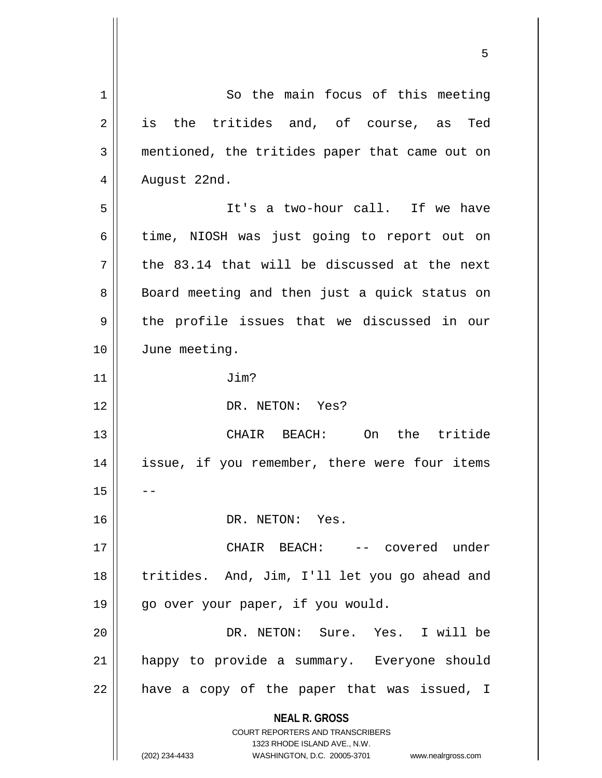**NEAL R. GROSS** COURT REPORTERS AND TRANSCRIBERS 1323 RHODE ISLAND AVE., N.W. (202) 234-4433 WASHINGTON, D.C. 20005-3701 www.nealrgross.com 1 | So the main focus of this meeting 2 is the tritides and, of course, as Ted 3 mentioned, the tritides paper that came out on  $4 \parallel$  August 22nd. 5 || It's a two-hour call. If we have  $6 \parallel$  time, NIOSH was just going to report out on  $7$  || the 83.14 that will be discussed at the next 8 || Board meeting and then just a quick status on  $9 \parallel$  the profile issues that we discussed in our 10 June meeting. 11 Jim? 12 || DR. NETON: Yes? 13 CHAIR BEACH: On the tritide 14 || issue, if you remember, there were four items  $15$ 16 DR. NETON: Yes. 17 CHAIR BEACH: -- covered under 18 || tritides. And, Jim, I'll let you go ahead and 19 || go over your paper, if you would. 20 DR. NETON: Sure. Yes. I will be 21 happy to provide a summary. Everyone should  $22$  | have a copy of the paper that was issued, I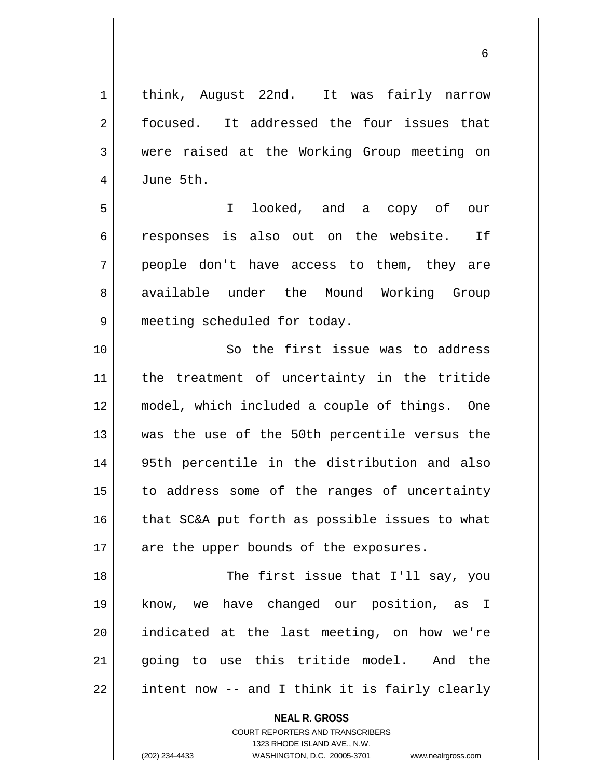1 | think, August 22nd. It was fairly narrow 2 | focused. It addressed the four issues that 3 were raised at the Working Group meeting on 4 June 5th. 5 I looked, and a copy of our 6 componses is also out on the website. If 7 || people don't have access to them, they are 8 available under the Mound Working Group 9 | meeting scheduled for today. 10 || So the first issue was to address 11 the treatment of uncertainty in the tritide 12 model, which included a couple of things. One 13 || was the use of the 50th percentile versus the 14 95th percentile in the distribution and also 15 || to address some of the ranges of uncertainty  $16$  | that SC&A put forth as possible issues to what  $17$  || are the upper bounds of the exposures. 18 The first issue that I'll say, you 19 know, we have changed our position, as I 20 indicated at the last meeting, on how we're 21 || going to use this tritide model. And the  $22 \parallel$  intent now -- and I think it is fairly clearly

> **NEAL R. GROSS** COURT REPORTERS AND TRANSCRIBERS

> > 1323 RHODE ISLAND AVE., N.W.

(202) 234-4433 WASHINGTON, D.C. 20005-3701 www.nealrgross.com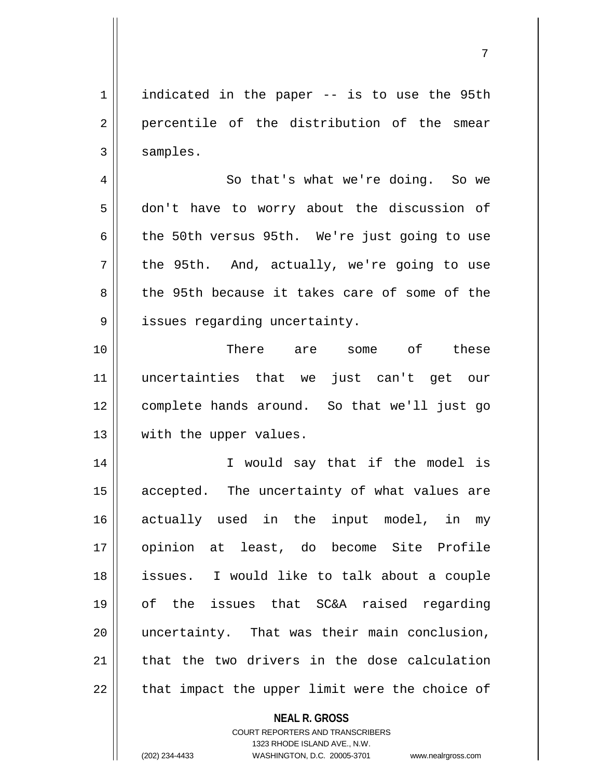1 | indicated in the paper -- is to use the 95th 2 percentile of the distribution of the smear  $3 \parallel$  samples.

4 || So that's what we're doing. So we 5 don't have to worry about the discussion of  $6 \parallel$  the 50th versus 95th. We're just going to use  $7 \parallel$  the 95th. And, actually, we're going to use 8 the 95th because it takes care of some of the  $9 \parallel$  issues regarding uncertainty.

10 There are some of these 11 uncertainties that we just can't get our 12 complete hands around. So that we'll just go 13 || with the upper values.

14 || T would say that if the model is 15 || accepted. The uncertainty of what values are 16 actually used in the input model, in my 17 opinion at least, do become Site Profile 18 issues. I would like to talk about a couple 19 of the issues that SC&A raised regarding 20 uncertainty. That was their main conclusion, 21  $\parallel$  that the two drivers in the dose calculation  $22$  | that impact the upper limit were the choice of

**NEAL R. GROSS**

COURT REPORTERS AND TRANSCRIBERS 1323 RHODE ISLAND AVE., N.W. (202) 234-4433 WASHINGTON, D.C. 20005-3701 www.nealrgross.com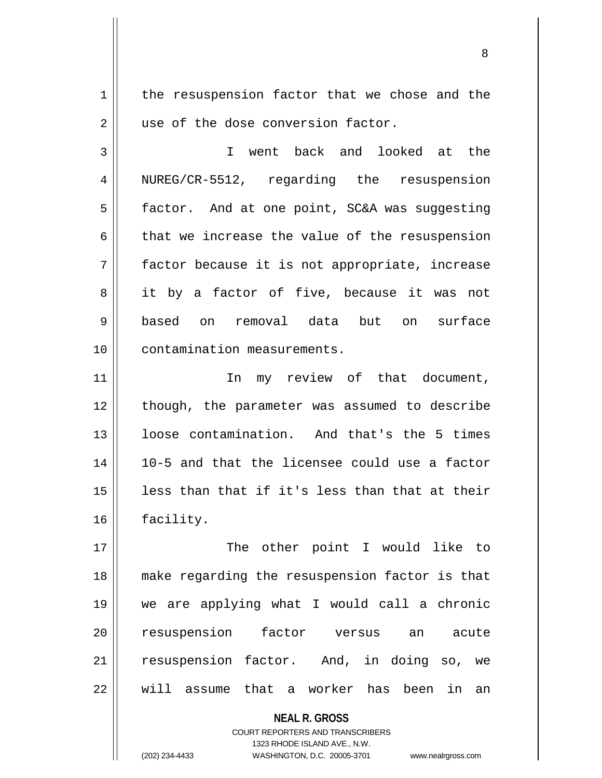$1$  the resuspension factor that we chose and the 2 || use of the dose conversion factor.

3 I went back and looked at the 4 | NUREG/CR-5512, regarding the resuspension 5 | factor. And at one point, SC&A was suggesting  $6$  || that we increase the value of the resuspension 7 || factor because it is not appropriate, increase 8 it by a factor of five, because it was not 9 based on removal data but on surface 10 || contamination measurements.

11 In my review of that document, 12 || though, the parameter was assumed to describe 13 || loose contamination. And that's the 5 times 14 10-5 and that the licensee could use a factor  $15$  || less than that if it's less than that at their 16 facility.

17 || The other point I would like to 18 make regarding the resuspension factor is that 19 we are applying what I would call a chronic 20 || resuspension factor versus an acute 21 || resuspension factor. And, in doing so, we 22 W will assume that a worker has been in an

> **NEAL R. GROSS** COURT REPORTERS AND TRANSCRIBERS 1323 RHODE ISLAND AVE., N.W. (202) 234-4433 WASHINGTON, D.C. 20005-3701 www.nealrgross.com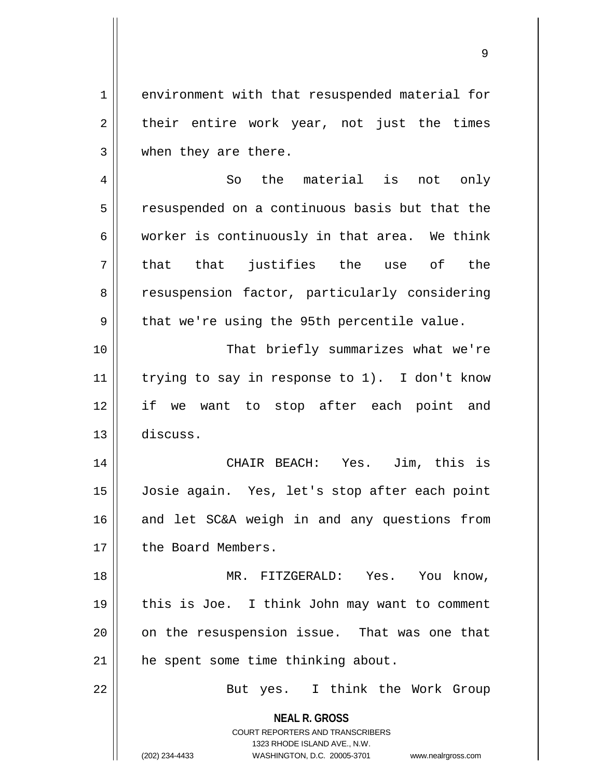1 environment with that resuspended material for  $2 \parallel$  their entire work year, not just the times 3 when they are there.

4 || So the material is not only 5 | resuspended on a continuous basis but that the  $6$  || worker is continuously in that area. We think  $7 \parallel$  that that justifies the use of the 8 || resuspension factor, particularly considering  $9 \parallel$  that we're using the 95th percentile value. 10 That briefly summarizes what we're 11  $\parallel$  trying to say in response to 1). I don't know

12 if we want to stop after each point and 13 discuss.

14 CHAIR BEACH: Yes. Jim, this is 15 Josie again. Yes, let's stop after each point 16 || and let SC&A weigh in and any questions from 17 | the Board Members.

18 MR. FITZGERALD: Yes. You know, 19 this is Joe. I think John may want to comment 20 || on the resuspension issue. That was one that 21 || he spent some time thinking about.

22 || But yes. I think the Work Group

**NEAL R. GROSS** COURT REPORTERS AND TRANSCRIBERS

1323 RHODE ISLAND AVE., N.W.

(202) 234-4433 WASHINGTON, D.C. 20005-3701 www.nealrgross.com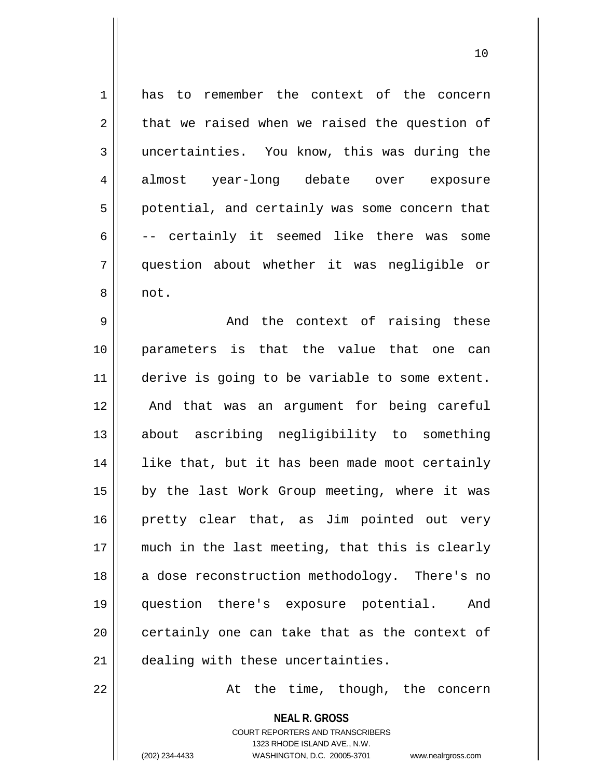| 1  | has to remember the context of the concern     |
|----|------------------------------------------------|
| 2  | that we raised when we raised the question of  |
| 3  | uncertainties. You know, this was during the   |
| 4  | almost year-long debate over exposure          |
| 5  | potential, and certainly was some concern that |
| 6  | -- certainly it seemed like there was some     |
| 7  | question about whether it was negligible or    |
| 8  | not.                                           |
| 9  | And the context of raising these               |
| 10 | parameters is that the value that one can      |
| 11 | derive is going to be variable to some extent. |
| 12 | And that was an argument for being careful     |
| 13 | about ascribing negligibility to something     |
| 14 | like that, but it has been made moot certainly |
| 15 | by the last Work Group meeting, where it was   |
| 16 | pretty clear that, as Jim pointed out very     |
| 17 | much in the last meeting, that this is clearly |
| 18 | a dose reconstruction methodology. There's no  |
| 19 | question there's exposure potential.<br>And    |
| 20 | certainly one can take that as the context of  |
| 21 | dealing with these uncertainties.              |
|    |                                                |

 $22$   $\parallel$  at the time, though, the concern

**NEAL R. GROSS** COURT REPORTERS AND TRANSCRIBERS 1323 RHODE ISLAND AVE., N.W. (202) 234-4433 WASHINGTON, D.C. 20005-3701 www.nealrgross.com

 $\mathsf{I}$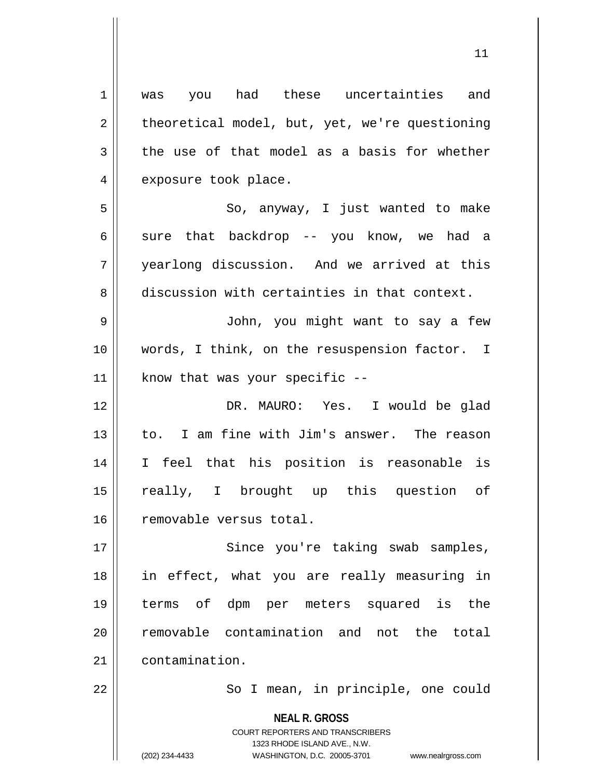**NEAL R. GROSS** COURT REPORTERS AND TRANSCRIBERS 1323 RHODE ISLAND AVE., N.W. 1 || was you had these uncertainties and  $2 \parallel$  theoretical model, but, yet, we're questioning  $3 \parallel$  the use of that model as a basis for whether 4 | exposure took place. 5 || So, anyway, I just wanted to make 6 sure that backdrop -- you know, we had a 7 yearlong discussion. And we arrived at this 8 discussion with certainties in that context. 9 John, you might want to say a few 10 || words, I think, on the resuspension factor. I  $11$  | know that was your specific  $-$ 12 DR. MAURO: Yes. I would be glad 13 || to. I am fine with Jim's answer. The reason 14 I feel that his position is reasonable is 15 really, I brought up this question of 16 | removable versus total. 17 || Since you're taking swab samples, 18 in effect, what you are really measuring in 19 terms of dpm per meters squared is the 20 || removable contamination and not the total 21 contamination. 22 || So I mean, in principle, one could

(202) 234-4433 WASHINGTON, D.C. 20005-3701 www.nealrgross.com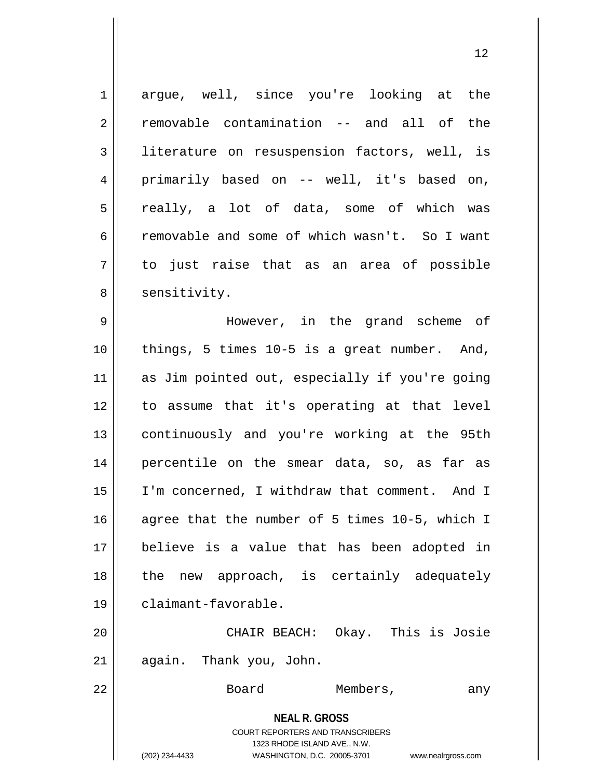| $\mathbf 1$ | argue, well, since you're looking at the                                                                                                                        |
|-------------|-----------------------------------------------------------------------------------------------------------------------------------------------------------------|
| 2           | removable contamination -- and all of the                                                                                                                       |
| 3           | literature on resuspension factors, well, is                                                                                                                    |
| 4           | primarily based on -- well, it's based on,                                                                                                                      |
| 5           | really, a lot of data, some of which was                                                                                                                        |
| 6           | removable and some of which wasn't. So I want                                                                                                                   |
| 7           | to just raise that as an area of possible                                                                                                                       |
| 8           | sensitivity.                                                                                                                                                    |
| 9           | However, in the grand scheme of                                                                                                                                 |
| 10          | things, 5 times 10-5 is a great number. And,                                                                                                                    |
| 11          | as Jim pointed out, especially if you're going                                                                                                                  |
| 12          | to assume that it's operating at that level                                                                                                                     |
| 13          | continuously and you're working at the 95th                                                                                                                     |
| 14          | percentile on the smear data, so, as far as                                                                                                                     |
| 15          | I'm concerned, I withdraw that comment. And I                                                                                                                   |
| 16          | agree that the number of 5 times 10-5, which I                                                                                                                  |
| 17          | believe is a value that has been adopted in                                                                                                                     |
| 18          | new approach, is certainly adequately<br>the                                                                                                                    |
| 19          | claimant-favorable.                                                                                                                                             |
| 20          | CHAIR BEACH: Okay. This is Josie                                                                                                                                |
| 21          | again. Thank you, John.                                                                                                                                         |
| 22          | Board<br>Members,<br>any                                                                                                                                        |
|             | <b>NEAL R. GROSS</b><br>COURT REPORTERS AND TRANSCRIBERS<br>1323 RHODE ISLAND AVE., N.W.<br>(202) 234-4433<br>WASHINGTON, D.C. 20005-3701<br>www.nealrgross.com |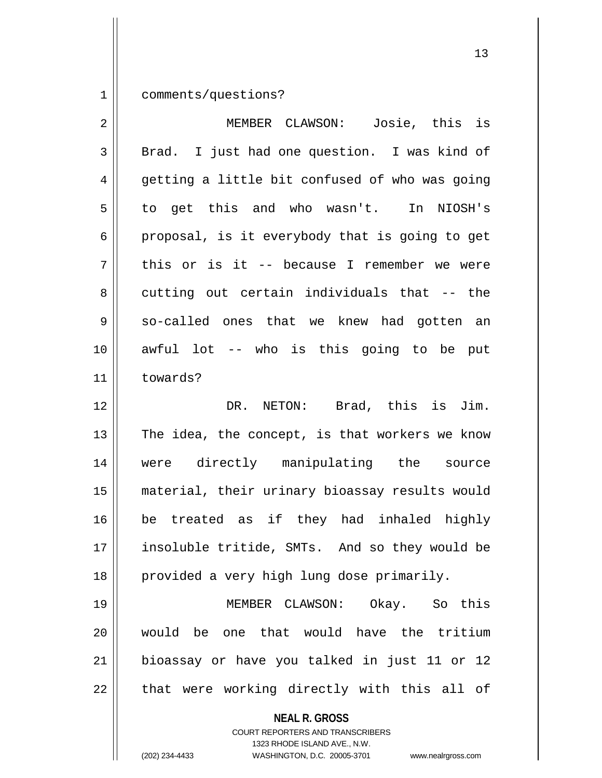1 comments/questions?

| $\overline{2}$ | MEMBER CLAWSON: Josie, this is                 |
|----------------|------------------------------------------------|
| $\mathfrak{Z}$ | Brad. I just had one question. I was kind of   |
| 4              | getting a little bit confused of who was going |
| 5              | to get this and who wasn't. In NIOSH's         |
| 6              | proposal, is it everybody that is going to get |
| 7              | this or is it -- because I remember we were    |
| 8              | cutting out certain individuals that -- the    |
| 9              | so-called ones that we knew had gotten an      |
| 10             | awful lot -- who is this going to be put       |
| 11             | towards?                                       |
| 12             | DR. NETON: Brad, this is Jim.                  |
| 13             | The idea, the concept, is that workers we know |
| 14             | were directly manipulating the source          |
| 15             | material, their urinary bioassay results would |
| 16             | be treated as if they had inhaled highly       |
| 17             | insoluble tritide, SMTs. And so they would be  |
| 18             | provided a very high lung dose primarily.      |
| 19             | MEMBER CLAWSON: Okay. So this                  |
| 20             | would be one that would have the tritium       |
| 21             | bioassay or have you talked in just 11 or 12   |
| 22             | that were working directly with this all of    |
|                | <b>NEAL R. GROSS</b>                           |

COURT REPORTERS AND TRANSCRIBERS 1323 RHODE ISLAND AVE., N.W.

 $\mathsf{I}$ 

(202) 234-4433 WASHINGTON, D.C. 20005-3701 www.nealrgross.com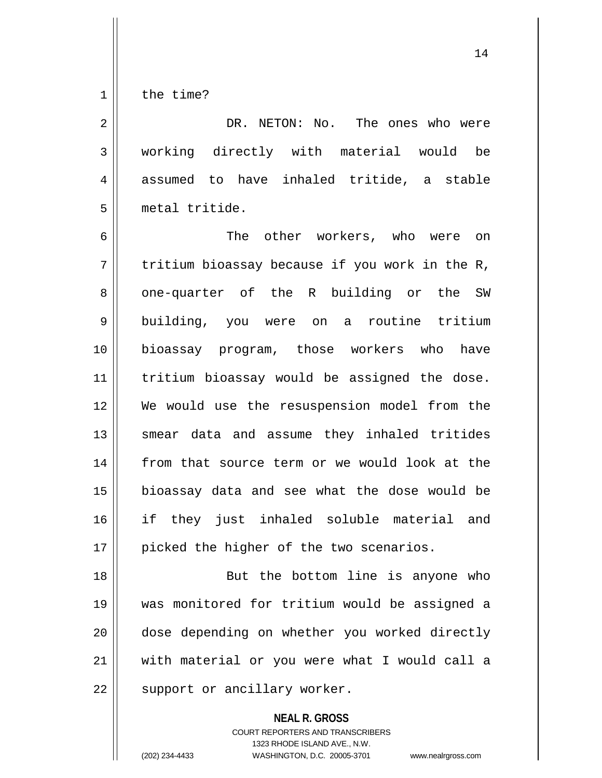1 l the time?

2 DR. NETON: No. The ones who were 3 working directly with material would be 4 assumed to have inhaled tritide, a stable 5 metal tritide.

6 The other workers, who were on  $7 \parallel$  tritium bioassay because if you work in the R, 8 one-quarter of the R building or the SW 9 building, you were on a routine tritium 10 bioassay program, those workers who have 11 || tritium bioassay would be assigned the dose. 12 We would use the resuspension model from the 13 || smear data and assume they inhaled tritides 14 || from that source term or we would look at the 15 || bioassay data and see what the dose would be 16 if they just inhaled soluble material and 17 || picked the higher of the two scenarios.

18 || But the bottom line is anyone who 19 was monitored for tritium would be assigned a 20 dose depending on whether you worked directly 21 with material or you were what I would call a  $22$  | support or ancillary worker.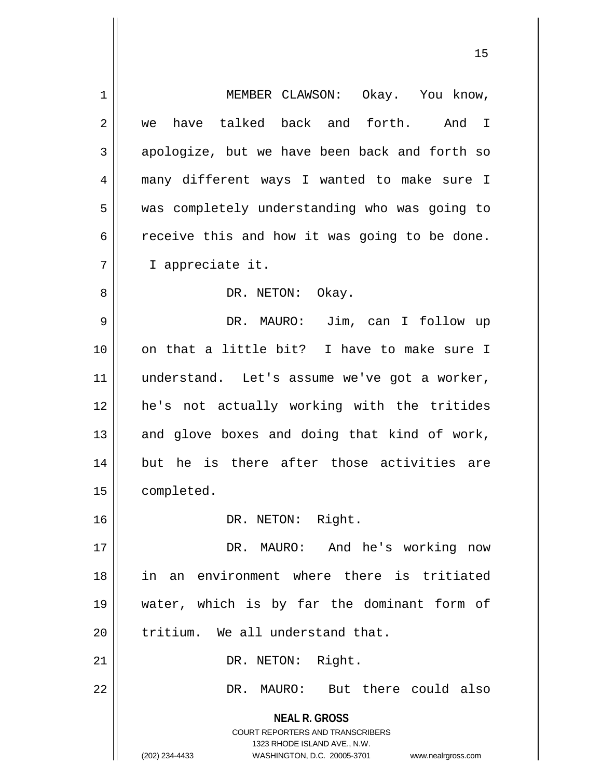| $\mathbf 1$ | MEMBER CLAWSON: Okay. You know,                                  |
|-------------|------------------------------------------------------------------|
| 2           | have talked back and forth.<br>And<br>$\mathbf{I}$<br>we         |
| 3           | apologize, but we have been back and forth so                    |
| 4           | many different ways I wanted to make sure I                      |
| 5           | was completely understanding who was going to                    |
| 6           | receive this and how it was going to be done.                    |
| 7           | I appreciate it.                                                 |
| 8           | DR. NETON: Okay.                                                 |
| 9           | DR. MAURO: Jim, can I follow up                                  |
| 10          | on that a little bit? I have to make sure I                      |
| 11          | understand. Let's assume we've got a worker,                     |
| 12          | he's not actually working with the tritides                      |
| 13          | and glove boxes and doing that kind of work,                     |
| 14          | but he is there after those activities are                       |
| 15          | completed.                                                       |
| 16          | DR. NETON: Right.                                                |
| 17          | DR. MAURO: And he's working now                                  |
| 18          | in an environment where there is tritiated                       |
| 19          | water, which is by far the dominant form of                      |
| 20          | tritium. We all understand that.                                 |
| 21          | DR. NETON: Right.                                                |
| 22          | DR. MAURO: But there could also                                  |
|             | <b>NEAL R. GROSS</b>                                             |
|             | <b>COURT REPORTERS AND TRANSCRIBERS</b>                          |
|             | 1323 RHODE ISLAND AVE., N.W.                                     |
|             | (202) 234-4433<br>WASHINGTON, D.C. 20005-3701 www.nealrgross.com |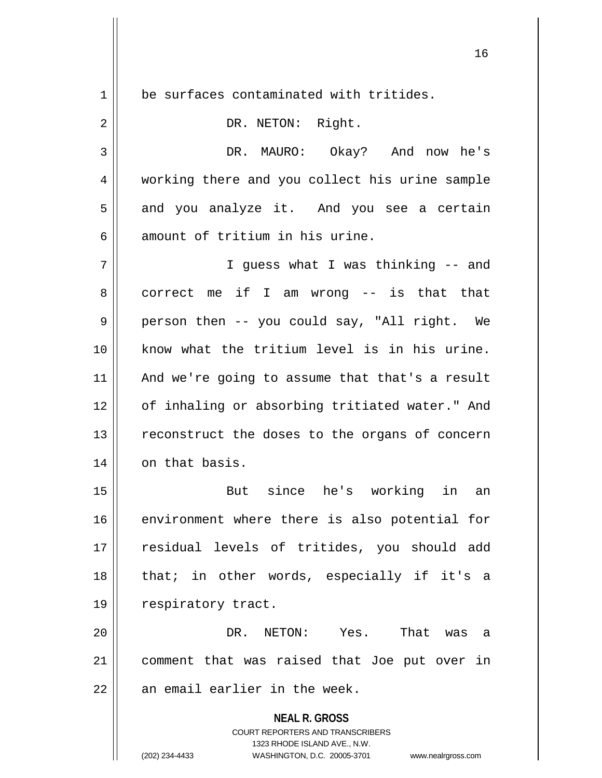$1 \parallel$  be surfaces contaminated with tritides.

| $\overline{2}$ | DR. NETON: Right.                                                                                                                                                      |
|----------------|------------------------------------------------------------------------------------------------------------------------------------------------------------------------|
| 3              | DR. MAURO: Okay? And now he's                                                                                                                                          |
| 4              | working there and you collect his urine sample                                                                                                                         |
| 5              | and you analyze it. And you see a certain                                                                                                                              |
| 6              | amount of tritium in his urine.                                                                                                                                        |
| 7              | I guess what I was thinking -- and                                                                                                                                     |
| 8              | correct me if I am wrong $-$ is that that                                                                                                                              |
| 9              | person then -- you could say, "All right. We                                                                                                                           |
| 10             | know what the tritium level is in his urine.                                                                                                                           |
| 11             | And we're going to assume that that's a result                                                                                                                         |
| 12             | of inhaling or absorbing tritiated water." And                                                                                                                         |
| 13             | reconstruct the doses to the organs of concern                                                                                                                         |
| 14             | on that basis.                                                                                                                                                         |
| 15             | But since he's working in an                                                                                                                                           |
| 16             | environment where there is also potential for                                                                                                                          |
| 17             | residual levels of tritides, you should add                                                                                                                            |
| 18             | that; in other words, especially if it's a                                                                                                                             |
| 19             | respiratory tract.                                                                                                                                                     |
| 20             | DR.<br>NETON:<br>Yes.<br>That<br>was<br>a                                                                                                                              |
| 21             | comment that was raised that Joe put over in                                                                                                                           |
| 22             | an email earlier in the week.                                                                                                                                          |
|                | <b>NEAL R. GROSS</b><br><b>COURT REPORTERS AND TRANSCRIBERS</b><br>1323 RHODE ISLAND AVE., N.W.<br>(202) 234-4433<br>WASHINGTON, D.C. 20005-3701<br>www.nealrgross.com |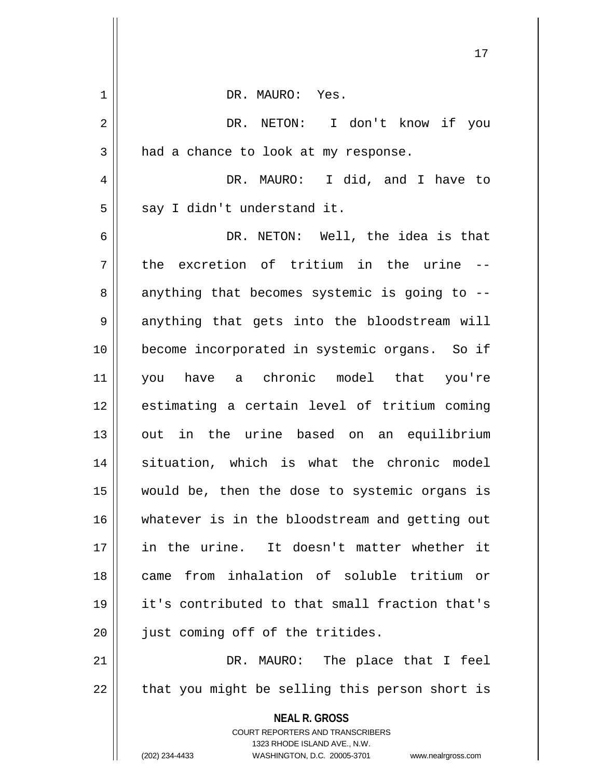|    | ⊥ /                                                                                                                                                                    |
|----|------------------------------------------------------------------------------------------------------------------------------------------------------------------------|
| 1  | DR. MAURO: Yes.                                                                                                                                                        |
| 2  | DR. NETON: I don't know if you                                                                                                                                         |
| 3  | had a chance to look at my response.                                                                                                                                   |
| 4  | DR. MAURO: I did, and I have to                                                                                                                                        |
| 5  | say I didn't understand it.                                                                                                                                            |
| 6  | DR. NETON: Well, the idea is that                                                                                                                                      |
| 7  | the excretion of tritium in the urine --                                                                                                                               |
| 8  | anything that becomes systemic is going to --                                                                                                                          |
| 9  | anything that gets into the bloodstream will                                                                                                                           |
| 10 | become incorporated in systemic organs. So if                                                                                                                          |
| 11 | you have a chronic model that you're                                                                                                                                   |
| 12 | estimating a certain level of tritium coming                                                                                                                           |
| 13 | out in the urine based on an equilibrium                                                                                                                               |
| 14 | situation, which is what the chronic model                                                                                                                             |
| 15 | would be, then the dose to systemic organs is                                                                                                                          |
| 16 | whatever is in the bloodstream and getting out                                                                                                                         |
| 17 | in the urine. It doesn't matter whether it                                                                                                                             |
| 18 | from inhalation of soluble tritium or<br>came                                                                                                                          |
| 19 | it's contributed to that small fraction that's                                                                                                                         |
| 20 | just coming off of the tritides.                                                                                                                                       |
| 21 | DR. MAURO: The place that I feel                                                                                                                                       |
| 22 | that you might be selling this person short is                                                                                                                         |
|    | <b>NEAL R. GROSS</b><br><b>COURT REPORTERS AND TRANSCRIBERS</b><br>1323 RHODE ISLAND AVE., N.W.<br>(202) 234-4433<br>WASHINGTON, D.C. 20005-3701<br>www.nealrgross.com |
|    |                                                                                                                                                                        |

 $\mathbf{\mathcal{L}}$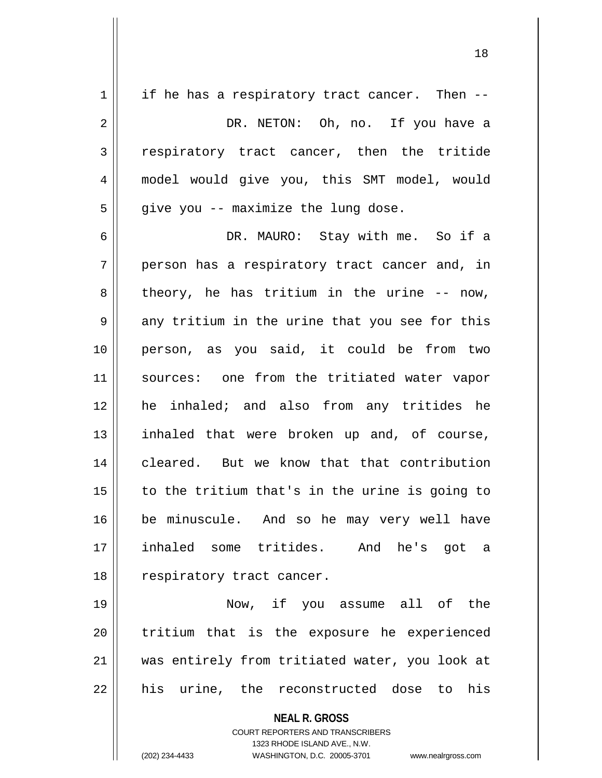| $\mathbf 1$ | if he has a respiratory tract cancer. Then --  |
|-------------|------------------------------------------------|
| 2           | DR. NETON: Oh, no. If you have a               |
| 3           | respiratory tract cancer, then the tritide     |
| 4           | model would give you, this SMT model, would    |
| 5           | give you -- maximize the lung dose.            |
| 6           | DR. MAURO: Stay with me. So if a               |
| 7           | person has a respiratory tract cancer and, in  |
| 8           | theory, he has tritium in the urine -- now,    |
| 9           | any tritium in the urine that you see for this |
| 10          | person, as you said, it could be from two      |
| 11          | sources: one from the tritiated water vapor    |
| 12          | he inhaled; and also from any tritides he      |
| 13          | inhaled that were broken up and, of course,    |
| 14          | cleared. But we know that that contribution    |
| 15          | to the tritium that's in the urine is going to |
| $16$        | be minuscule. And so he may very well have     |
| 17          | inhaled some tritides. And he's got a          |
| 18          | respiratory tract cancer.                      |
| 19          | Now, if you assume all of the                  |
| 20          | tritium that is the exposure he experienced    |
| 21          | was entirely from tritiated water, you look at |
| 22          | his urine, the reconstructed dose to his       |
|             | <b>NEAL R. GROSS</b>                           |

COURT REPORTERS AND TRANSCRIBERS 1323 RHODE ISLAND AVE., N.W.

 $\prod$ 

(202) 234-4433 WASHINGTON, D.C. 20005-3701 www.nealrgross.com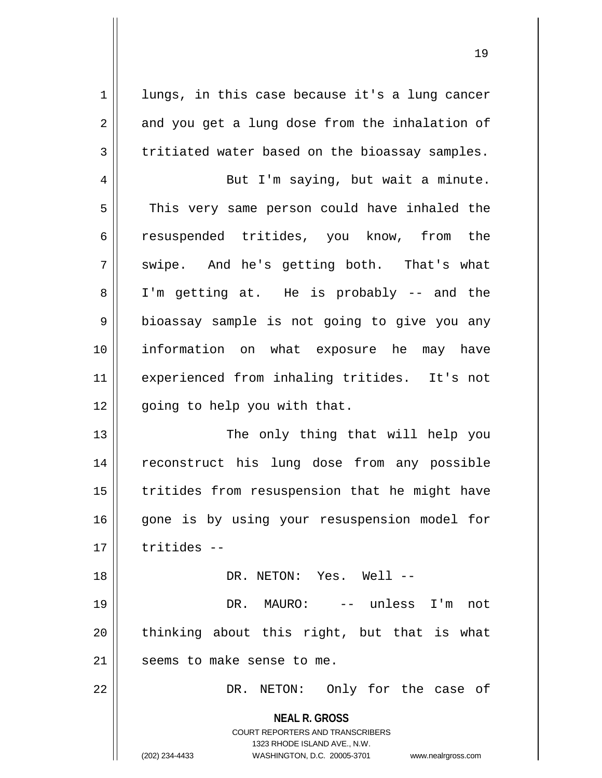1 | lungs, in this case because it's a lung cancer  $2 \parallel$  and you get a lung dose from the inhalation of  $3 \parallel$  tritiated water based on the bioassay samples.

4 || But I'm saying, but wait a minute. 5 || This very same person could have inhaled the 6 || resuspended tritides, you know, from the  $7 \parallel$  swipe. And he's getting both. That's what 8 I'm getting at. He is probably -- and the  $9 \parallel$  bioassay sample is not going to give you any 10 information on what exposure he may have 11 experienced from inhaling tritides. It's not  $12$  | qoing to help you with that.

13 || The only thing that will help you 14 || reconstruct his lung dose from any possible 15 || tritides from resuspension that he might have 16 || gone is by using your resuspension model for  $17$   $\parallel$  tritides  $-$ 

18 || DR. NETON: Yes. Well --

19 DR. MAURO: -- unless I'm not  $20$  || thinking about this right, but that is what  $21$  | seems to make sense to me.

22 DR. NETON: Only for the case of

**NEAL R. GROSS** COURT REPORTERS AND TRANSCRIBERS

1323 RHODE ISLAND AVE., N.W.

(202) 234-4433 WASHINGTON, D.C. 20005-3701 www.nealrgross.com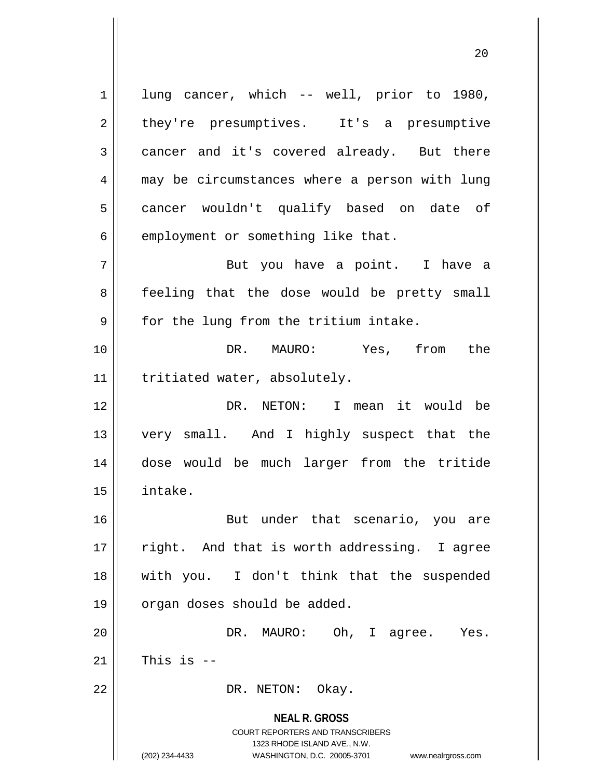**NEAL R. GROSS** COURT REPORTERS AND TRANSCRIBERS 1323 RHODE ISLAND AVE., N.W. 1 || lung cancer, which -- well, prior to 1980, 2 | they're presumptives. It's a presumptive  $3 \parallel$  cancer and it's covered already. But there 4 || may be circumstances where a person with lung 5 || cancer wouldn't qualify based on date of  $6$  | employment or something like that. 7 But you have a point. I have a 8 || feeling that the dose would be pretty small  $9 \parallel$  for the lung from the tritium intake. 10 || The DR. MAURO: Yes, from the 11 || tritiated water, absolutely. 12 DR. NETON: I mean it would be 13 very small. And I highly suspect that the 14 dose would be much larger from the tritide 15 intake. 16 || But under that scenario, you are  $17$  || right. And that is worth addressing. I agree 18 with you. I don't think that the suspended 19 | organ doses should be added. 20 DR. MAURO: Oh, I agree. Yes.  $21$  This is  $-$ 22 | DR. NETON: Okay.

(202) 234-4433 WASHINGTON, D.C. 20005-3701 www.nealrgross.com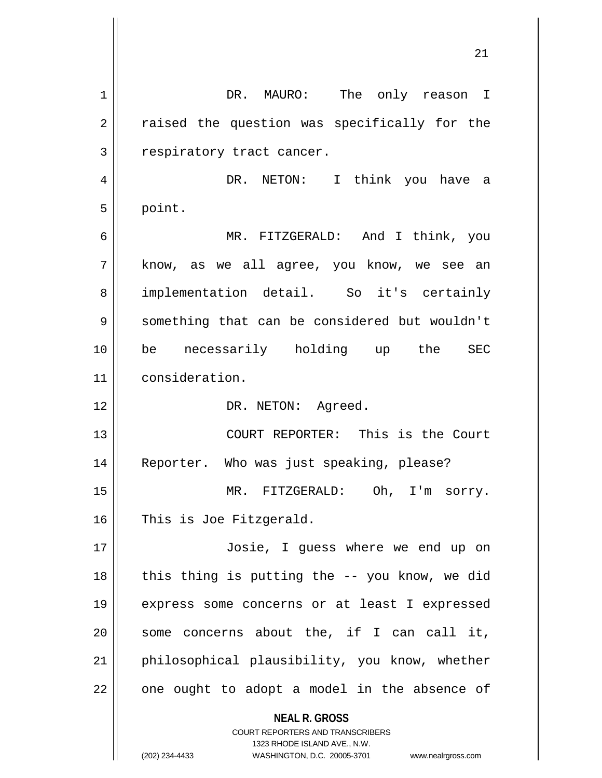**NEAL R. GROSS** COURT REPORTERS AND TRANSCRIBERS 1 DR. MAURO: The only reason I  $2 \parallel$  raised the question was specifically for the 3 | respiratory tract cancer. 4 DR. NETON: I think you have a  $5 \parallel$  point. 6 MR. FITZGERALD: And I think, you  $7 \parallel$  know, as we all agree, you know, we see an 8 implementation detail. So it's certainly 9 Something that can be considered but wouldn't 10 be necessarily holding up the SEC 11 consideration. 12 | DR. NETON: Agreed. 13 COURT REPORTER: This is the Court 14 Reporter. Who was just speaking, please? 15 || MR. FITZGERALD: Oh, I'm sorry. 16 || This is Joe Fitzgerald. 17 Josie, I guess where we end up on  $18$  || this thing is putting the  $-$ - you know, we did 19 express some concerns or at least I expressed  $20$  || some concerns about the, if I can call it,  $21$  | philosophical plausibility, you know, whether  $22$  | one ought to adopt a model in the absence of

1323 RHODE ISLAND AVE., N.W.

(202) 234-4433 WASHINGTON, D.C. 20005-3701 www.nealrgross.com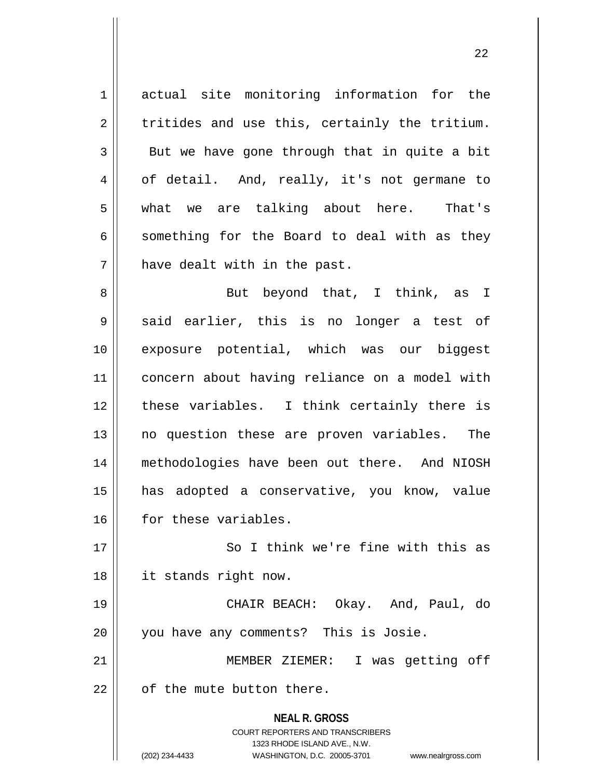1 actual site monitoring information for the  $2 \parallel$  tritides and use this, certainly the tritium.  $3 \parallel$  But we have gone through that in quite a bit 4 | of detail. And, really, it's not germane to 5 what we are talking about here. That's  $6 \parallel$  something for the Board to deal with as they 7 || have dealt with in the past.

8 || But beyond that, I think, as I  $9 \parallel$  said earlier, this is no longer a test of 10 exposure potential, which was our biggest 11 concern about having reliance on a model with 12 these variables. I think certainly there is 13 || no question these are proven variables. The 14 methodologies have been out there. And NIOSH 15 has adopted a conservative, you know, value 16 for these variables.

17 || So I think we're fine with this as 18 it stands right now.

19 CHAIR BEACH: Okay. And, Paul, do 20 || you have any comments? This is Josie.

21 MEMBER ZIEMER: I was getting off  $22$   $\parallel$  of the mute button there.

> **NEAL R. GROSS** COURT REPORTERS AND TRANSCRIBERS 1323 RHODE ISLAND AVE., N.W. (202) 234-4433 WASHINGTON, D.C. 20005-3701 www.nealrgross.com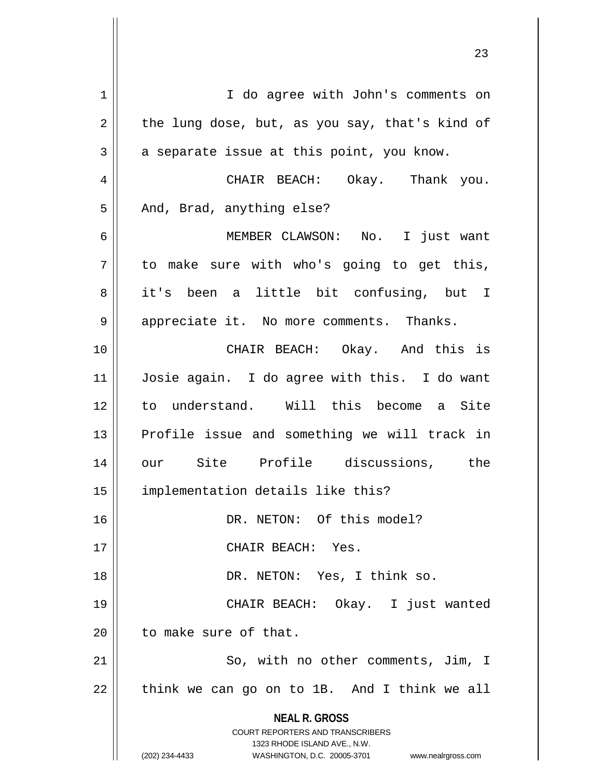**NEAL R. GROSS** COURT REPORTERS AND TRANSCRIBERS 1323 RHODE ISLAND AVE., N.W. (202) 234-4433 WASHINGTON, D.C. 20005-3701 www.nealrgross.com 1 | I do agree with John's comments on  $2 \parallel$  the lung dose, but, as you say, that's kind of  $3 \parallel$  a separate issue at this point, you know. 4 CHAIR BEACH: Okay. Thank you.  $5 \parallel$  And, Brad, anything else? 6 MEMBER CLAWSON: No. I just want  $7 \parallel$  to make sure with who's going to get this, 8 || it's been a little bit confusing, but I 9 | appreciate it. No more comments. Thanks. 10 CHAIR BEACH: Okay. And this is 11 Josie again. I do agree with this. I do want 12 to understand. Will this become a Site 13 || Profile issue and something we will track in 14 our Site Profile discussions, the 15 implementation details like this? 16 DR. NETON: Of this model? 17 CHAIR BEACH: Yes. 18 || DR. NETON: Yes, I think so. 19 CHAIR BEACH: Okay. I just wanted 20 | to make sure of that. 21 || So, with no other comments, Jim, I  $22 \parallel$  think we can go on to 1B. And I think we all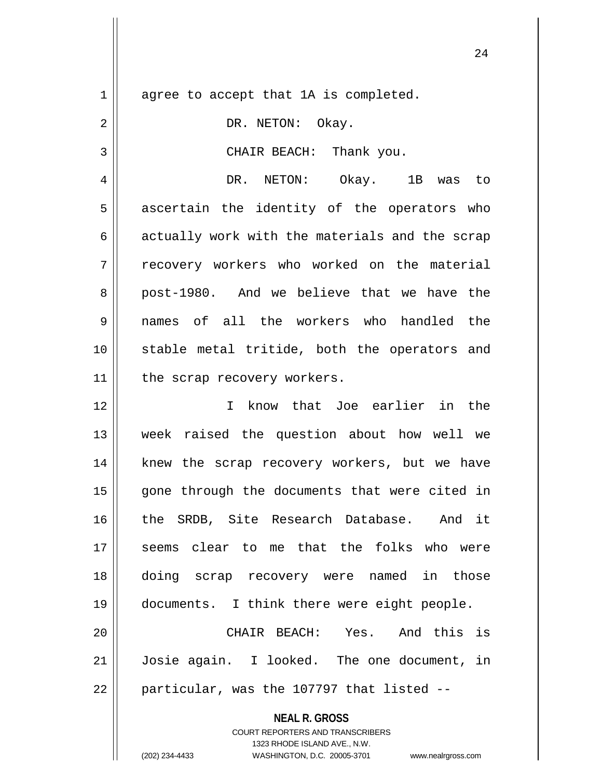$1 \parallel$  agree to accept that 1A is completed. 2 || DR. NETON: Okay. 3 || CHAIR BEACH: Thank you. 4 DR. NETON: Okay. 1B was to  $5 \parallel$  ascertain the identity of the operators who  $6 \parallel$  actually work with the materials and the scrap 7 T recovery workers who worked on the material 8 post-1980. And we believe that we have the 9 names of all the workers who handled the 10 || stable metal tritide, both the operators and  $11$  | the scrap recovery workers. 12 I know that Joe earlier in the 13 week raised the question about how well we 14 || knew the scrap recovery workers, but we have 15 || gone through the documents that were cited in 16 || the SRDB, Site Research Database. And it 17 seems clear to me that the folks who were 18 doing scrap recovery were named in those 19 documents. I think there were eight people. 20 CHAIR BEACH: Yes. And this is 21 Josie again. I looked. The one document, in  $22 \parallel$  particular, was the 107797 that listed  $-$ 

> COURT REPORTERS AND TRANSCRIBERS 1323 RHODE ISLAND AVE., N.W.

**NEAL R. GROSS**

(202) 234-4433 WASHINGTON, D.C. 20005-3701 www.nealrgross.com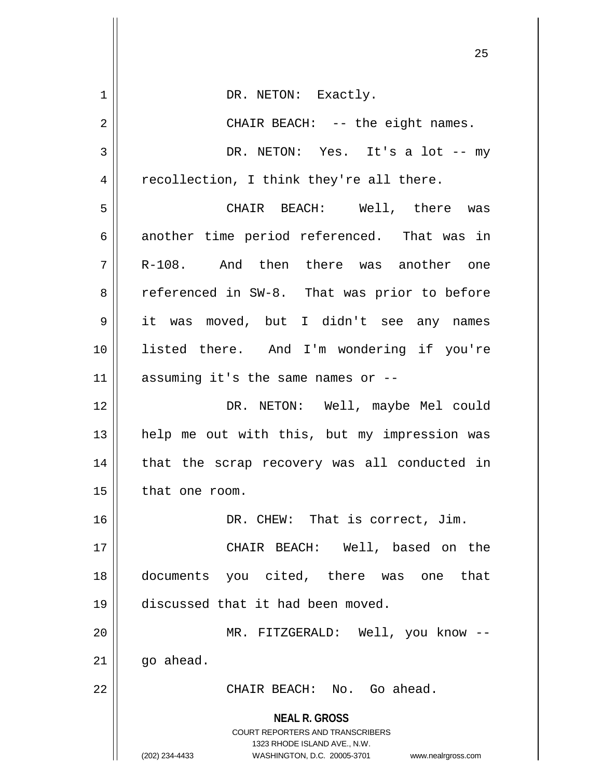|    | ر ے                                                                                                 |
|----|-----------------------------------------------------------------------------------------------------|
| 1  | DR. NETON: Exactly.                                                                                 |
| 2  | CHAIR BEACH: -- the eight names.                                                                    |
| 3  | DR. NETON: Yes. It's a lot -- my                                                                    |
| 4  | recollection, I think they're all there.                                                            |
| 5  | CHAIR BEACH: Well, there was                                                                        |
| 6  | another time period referenced. That was in                                                         |
| 7  | R-108. And then there was another one                                                               |
| 8  | referenced in SW-8. That was prior to before                                                        |
| 9  | it was moved, but I didn't see any names                                                            |
| 10 | listed there. And I'm wondering if you're                                                           |
| 11 | assuming it's the same names or --                                                                  |
| 12 | DR. NETON: Well, maybe Mel could                                                                    |
| 13 | help me out with this, but my impression was                                                        |
| 14 | that the scrap recovery was all conducted in                                                        |
| 15 | that one room.                                                                                      |
| 16 | DR. CHEW: That is correct, Jim.                                                                     |
| 17 | CHAIR BEACH: Well, based on the                                                                     |
| 18 | documents you cited, there was one<br>that                                                          |
| 19 | discussed that it had been moved.                                                                   |
| 20 | MR. FITZGERALD: Well, you know --                                                                   |
| 21 | go ahead.                                                                                           |
| 22 | CHAIR BEACH: No. Go ahead.                                                                          |
|    | <b>NEAL R. GROSS</b>                                                                                |
|    | <b>COURT REPORTERS AND TRANSCRIBERS</b>                                                             |
|    | 1323 RHODE ISLAND AVE., N.W.<br>(202) 234-4433<br>WASHINGTON, D.C. 20005-3701<br>www.nealrgross.com |
|    |                                                                                                     |

 $\mathop{||}$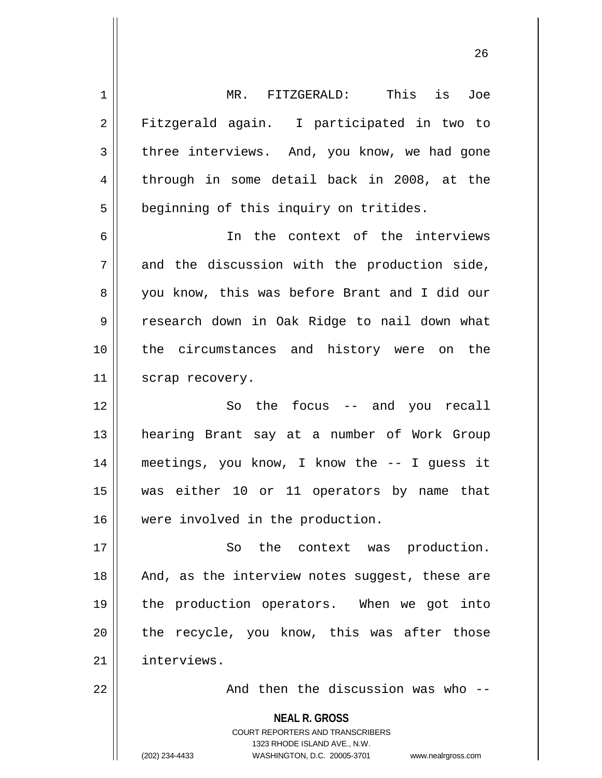**NEAL R. GROSS** COURT REPORTERS AND TRANSCRIBERS 1 MR. FITZGERALD: This is Joe 2 || Fitzgerald again. I participated in two to  $3 \parallel$  three interviews. And, you know, we had gone 4 through in some detail back in 2008, at the 5 | beginning of this inquiry on tritides. 6 In the context of the interviews  $7 \parallel$  and the discussion with the production side, 8 you know, this was before Brant and I did our 9 research down in Oak Ridge to nail down what 10 || the circumstances and history were on the 11 || scrap recovery. 12 || So the focus -- and you recall 13 hearing Brant say at a number of Work Group 14 meetings, you know, I know the -- I guess it 15 was either 10 or 11 operators by name that 16 were involved in the production. 17 || So the context was production. 18 || And, as the interview notes suggest, these are 19 the production operators. When we got into  $20$  || the recycle, you know, this was after those 21 interviews. 22 And then the discussion was who --

1323 RHODE ISLAND AVE., N.W.

(202) 234-4433 WASHINGTON, D.C. 20005-3701 www.nealrgross.com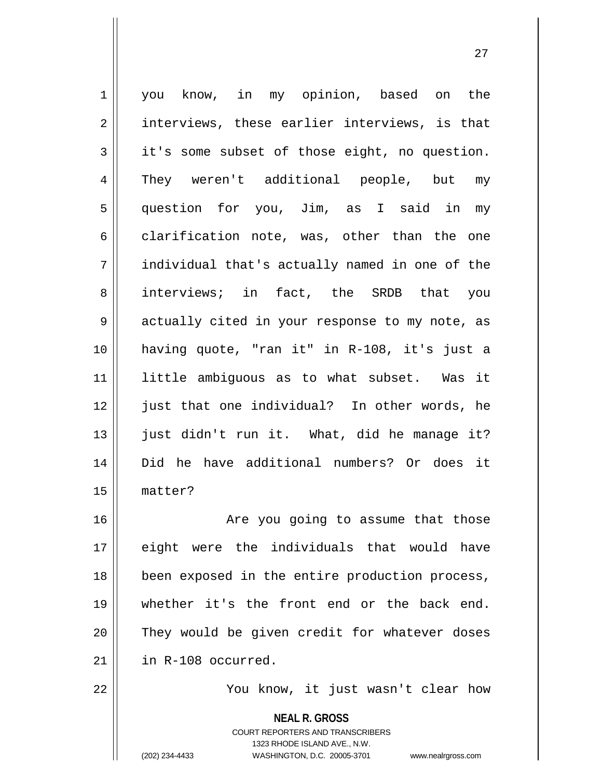**NEAL R. GROSS** 1 | you know, in my opinion, based on the  $2 \parallel$  interviews, these earlier interviews, is that 3 it's some subset of those eight, no question. 4 || They weren't additional people, but my 5 question for you, Jim, as I said in my  $6 \parallel$  clarification note, was, other than the one 7 individual that's actually named in one of the 8 interviews; in fact, the SRDB that you 9 || actually cited in your response to my note, as 10 having quote, "ran it" in R-108, it's just a 11 little ambiguous as to what subset. Was it 12 || just that one individual? In other words, he 13 just didn't run it. What, did he manage it? 14 Did he have additional numbers? Or does it 15 matter? 16 || Are you going to assume that those 17 eight were the individuals that would have 18 || been exposed in the entire production process, 19 whether it's the front end or the back end. 20 They would be given credit for whatever doses 21 in R-108 occurred. 22 || You know, it just wasn't clear how

> COURT REPORTERS AND TRANSCRIBERS 1323 RHODE ISLAND AVE., N.W.

(202) 234-4433 WASHINGTON, D.C. 20005-3701 www.nealrgross.com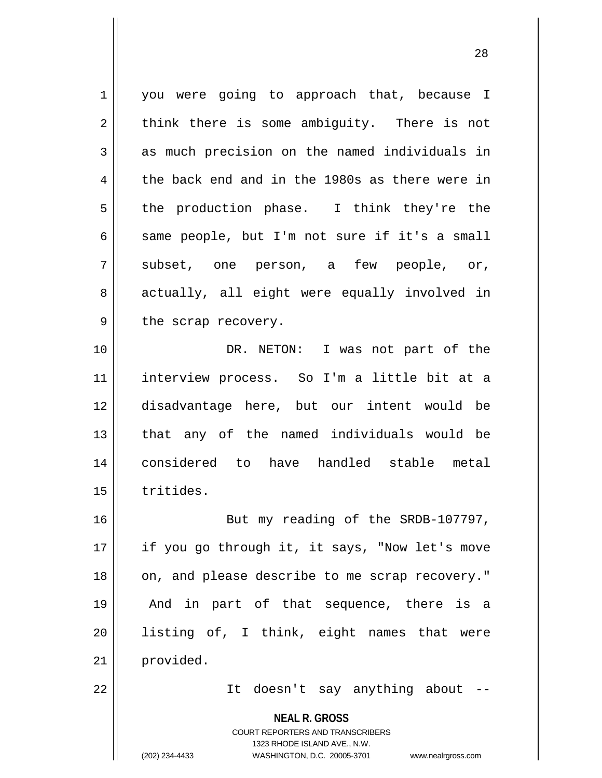**NEAL R. GROSS** COURT REPORTERS AND TRANSCRIBERS 1 you were going to approach that, because I  $2 \parallel$  think there is some ambiguity. There is not  $3 \parallel$  as much precision on the named individuals in  $4 \parallel$  the back end and in the 1980s as there were in  $5 \parallel$  the production phase. I think they're the  $6 \parallel$  same people, but I'm not sure if it's a small  $7 \parallel$  subset, one person, a few people, or, 8 actually, all eight were equally involved in  $9 \parallel$  the scrap recovery. 10 DR. NETON: I was not part of the 11 interview process. So I'm a little bit at a 12 disadvantage here, but our intent would be 13 that any of the named individuals would be 14 considered to have handled stable metal 15 | tritides. 16 || But my reading of the SRDB-107797, 17 || if you go through it, it says, "Now let's move 18 || on, and please describe to me scrap recovery." 19 And in part of that sequence, there is a 20 listing of, I think, eight names that were 21 | provided. 22 || It doesn't say anything about --

1323 RHODE ISLAND AVE., N.W.

(202) 234-4433 WASHINGTON, D.C. 20005-3701 www.nealrgross.com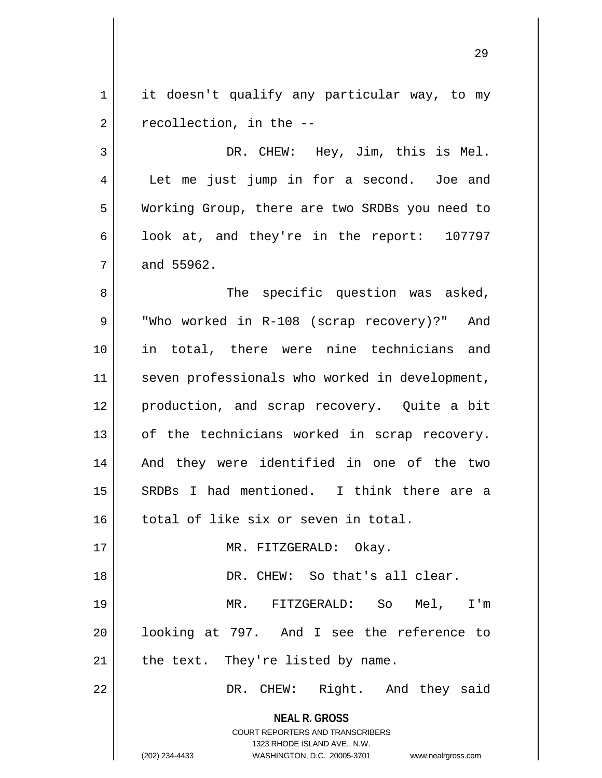1 | it doesn't qualify any particular way, to my  $2 \parallel$  recollection, in the  $-$ 

3 DR. CHEW: Hey, Jim, this is Mel. 4 | Let me just jump in for a second. Joe and 5 | Working Group, there are two SRDBs you need to 6 |  $\vert$  look at, and they're in the report: 107797  $7 \parallel$  and 55962.

8 || The specific question was asked, 9 || "Who worked in R-108 (scrap recovery)?" And 10 || in total, there were nine technicians and 11 || seven professionals who worked in development, 12 production, and scrap recovery. Quite a bit 13 || of the technicians worked in scrap recovery. 14 || And they were identified in one of the two 15 SRDBs I had mentioned. I think there are a 16 total of like six or seven in total.

18 || DR. CHEW: So that's all clear. 19 MR. FITZGERALD: So Mel, I'm 20 looking at 797. And I see the reference to  $21$  | the text. They're listed by name.

17 || MR. FITZGERALD: Okay.

22 || DR. CHEW: Right. And they said

**NEAL R. GROSS** COURT REPORTERS AND TRANSCRIBERS

1323 RHODE ISLAND AVE., N.W.

(202) 234-4433 WASHINGTON, D.C. 20005-3701 www.nealrgross.com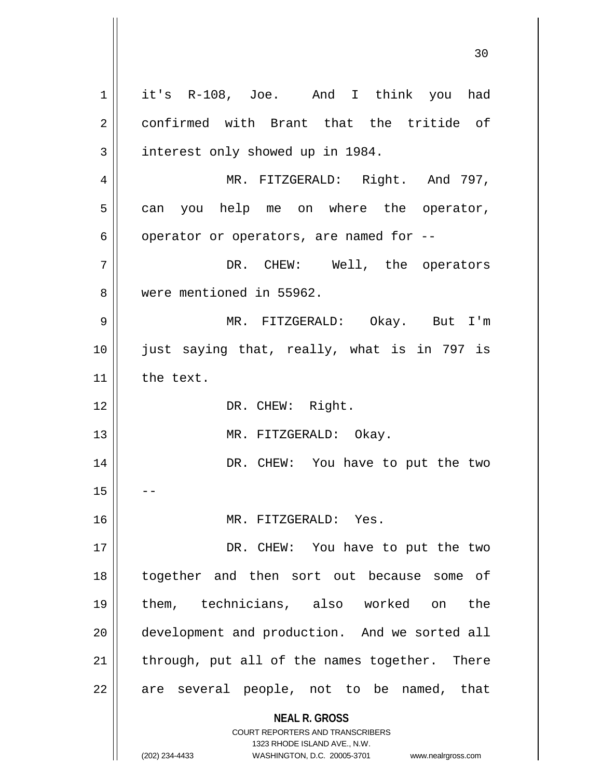**NEAL R. GROSS** COURT REPORTERS AND TRANSCRIBERS 1323 RHODE ISLAND AVE., N.W. 1 || it's R-108, Joe. And I think you had 2 confirmed with Brant that the tritide of 3 | interest only showed up in 1984. 4 || MR. FITZGERALD: Right. And 797,  $5 \parallel$  can you help me on where the operator,  $6 \parallel$  operator or operators, are named for --7 DR. CHEW: Well, the operators 8 || were mentioned in 55962. 9 MR. FITZGERALD: Okay. But I'm 10 just saying that, really, what is in 797 is 11 | the text. 12 || DR. CHEW: Right. 13 || MR. FITZGERALD: Okay. 14 DR. CHEW: You have to put the two  $15$ 16 MR. FITZGERALD: Yes. 17 || DR. CHEW: You have to put the two 18 together and then sort out because some of 19 them, technicians, also worked on the 20 || development and production. And we sorted all  $21$  | through, put all of the names together. There 22 || are several people, not to be named, that

(202) 234-4433 WASHINGTON, D.C. 20005-3701 www.nealrgross.com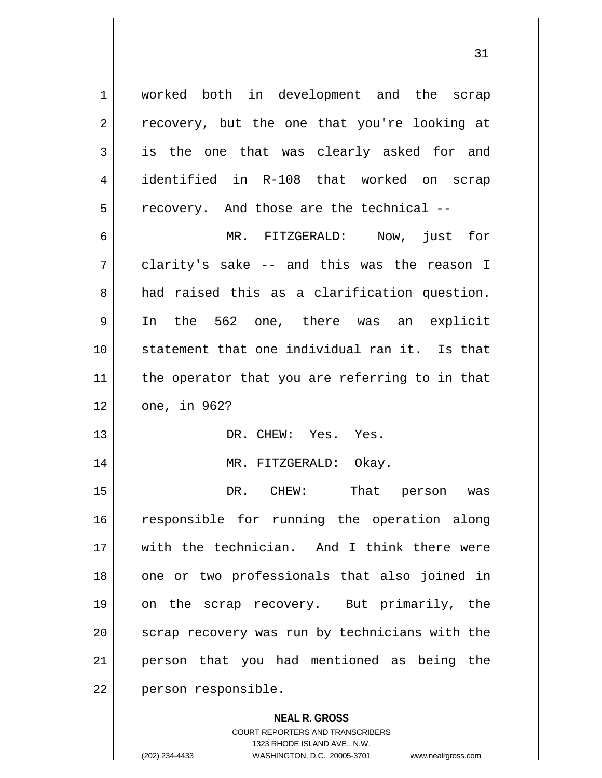1 worked both in development and the scrap  $2 \parallel$  recovery, but the one that you're looking at 3 is the one that was clearly asked for and 4 identified in R-108 that worked on scrap  $5$   $\parallel$  recovery. And those are the technical --

6 MR. FITZGERALD: Now, just for  $7 \parallel$  clarity's sake -- and this was the reason I 8 and raised this as a clarification question. 9 In the 562 one, there was an explicit 10 statement that one individual ran it. Is that  $11$  the operator that you are referring to in that 12 one, in 962?

13 DR. CHEW: Yes. Yes.

14 || MR. FITZGERALD: Okay.

15 DR. CHEW: That person was 16 || responsible for running the operation along 17 with the technician. And I think there were 18 || one or two professionals that also joined in 19 on the scrap recovery. But primarily, the 20 || scrap recovery was run by technicians with the 21 person that you had mentioned as being the 22 | person responsible.

#### **NEAL R. GROSS**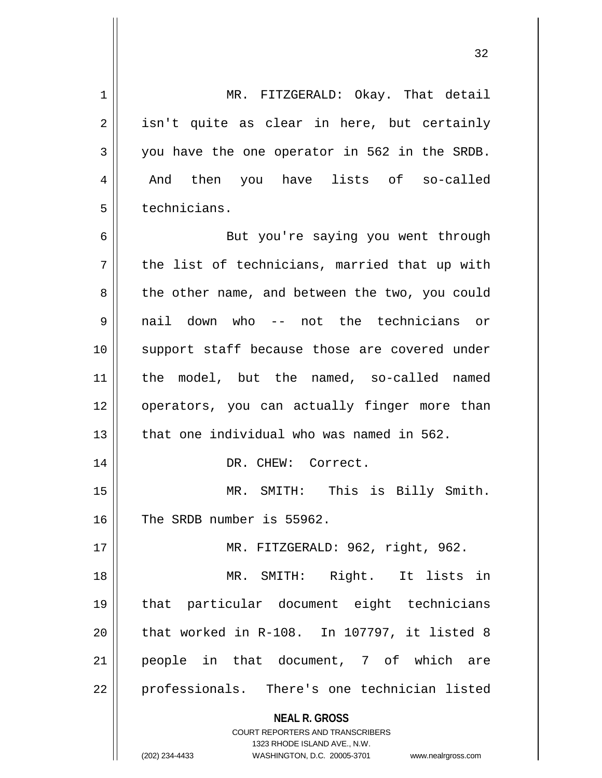1 MR. FITZGERALD: Okay. That detail  $2 \parallel$  isn't quite as clear in here, but certainly 3 you have the one operator in 562 in the SRDB. 4 || And then you have lists of so-called 5 l technicians.

6 || But you're saying you went through  $7 \parallel$  the list of technicians, married that up with 8 the other name, and between the two, you could 9 nail down who -- not the technicians or 10 support staff because those are covered under 11 the model, but the named, so-called named 12 || operators, you can actually finger more than 13  $\parallel$  that one individual who was named in 562. 14 || DR. CHEW: Correct. 15 || MR. SMITH: This is Billy Smith. 16 The SRDB number is 55962. 17 MR. FITZGERALD: 962, right, 962. 18 MR. SMITH: Right. It lists in 19 that particular document eight technicians  $20$  || that worked in R-108. In 107797, it listed 8

21 || people in that document, 7 of which are 22 || professionals. There's one technician listed

> **NEAL R. GROSS** COURT REPORTERS AND TRANSCRIBERS

> > 1323 RHODE ISLAND AVE., N.W.

(202) 234-4433 WASHINGTON, D.C. 20005-3701 www.nealrgross.com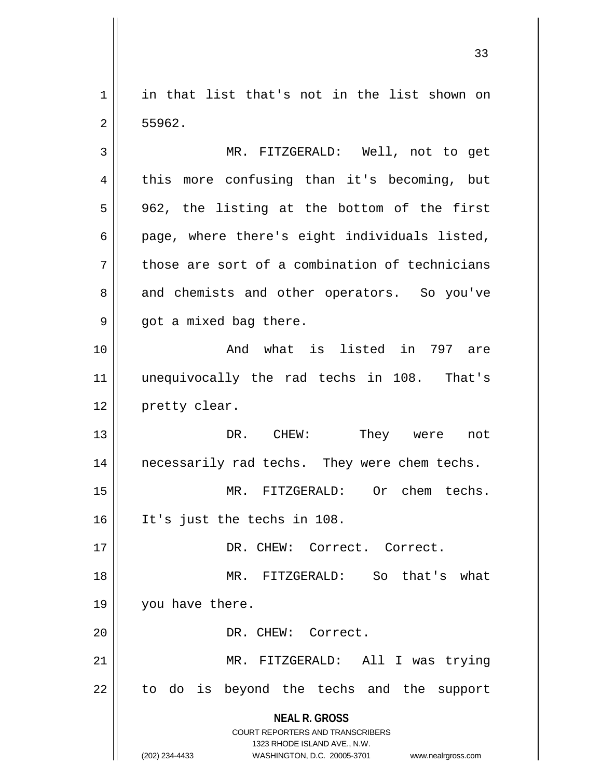1 || in that list that's not in the list shown on  $2 \parallel 55962.$ 

3 MR. FITZGERALD: Well, not to get 4 || this more confusing than it's becoming, but  $5 \parallel$  962, the listing at the bottom of the first  $6 \parallel$  page, where there's eight individuals listed,  $7$  those are sort of a combination of technicians 8 and chemists and other operators. So you've  $9 \parallel$  got a mixed bag there.

10 || The Contract What is listed in 797 are 11 unequivocally the rad techs in 108. That's 12 | pretty clear.

13 DR. CHEW: They were not 14 || necessarily rad techs. They were chem techs.

15 MR. FITZGERALD: Or chem techs. 16 It's just the techs in 108.

17 DR. CHEW: Correct. Correct.

18 MR. FITZGERALD: So that's what 19 || you have there. 20 | DR. CHEW: Correct.

21 || MR. FITZGERALD: All I was trying 22 || to do is beyond the techs and the support

> **NEAL R. GROSS** COURT REPORTERS AND TRANSCRIBERS

> > 1323 RHODE ISLAND AVE., N.W.

(202) 234-4433 WASHINGTON, D.C. 20005-3701 www.nealrgross.com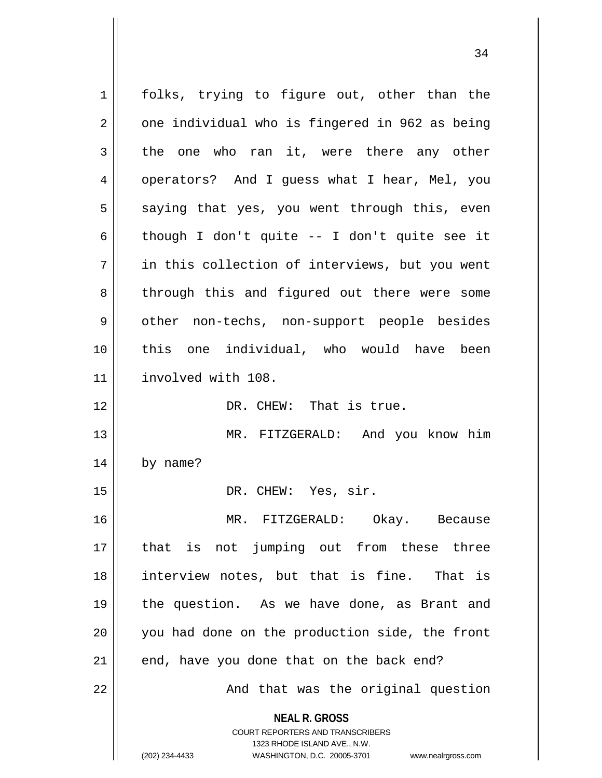**NEAL R. GROSS** COURT REPORTERS AND TRANSCRIBERS 1323 RHODE ISLAND AVE., N.W. (202) 234-4433 WASHINGTON, D.C. 20005-3701 www.nealrgross.com 1 || folks, trying to figure out, other than the  $2 \parallel$  one individual who is fingered in 962 as being  $3 \parallel$  the one who ran it, were there any other 4 | operators? And I guess what I hear, Mel, you  $5 \parallel$  saying that yes, you went through this, even 6 | though I don't quite -- I don't quite see it 7 in this collection of interviews, but you went 8 || through this and figured out there were some 9 || other non-techs, non-support people besides 10 this one individual, who would have been 11 involved with 108. 12 || **DR. CHEW:** That is true. 13 MR. FITZGERALD: And you know him  $14$  | by name? 15 || DR. CHEW: Yes, sir. 16 MR. FITZGERALD: Okay. Because 17 that is not jumping out from these three 18 interview notes, but that is fine. That is 19 || the question. As we have done, as Brant and 20 you had done on the production side, the front  $21$  | end, have you done that on the back end? 22 || And that was the original question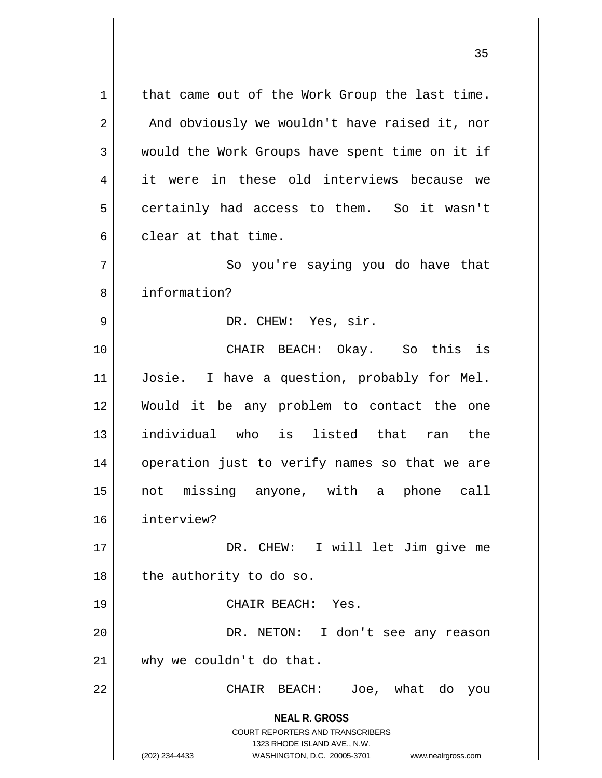**NEAL R. GROSS** COURT REPORTERS AND TRANSCRIBERS 1323 RHODE ISLAND AVE., N.W. (202) 234-4433 WASHINGTON, D.C. 20005-3701 www.nealrgross.com  $1 \parallel$  that came out of the Work Group the last time.  $2 \parallel$  And obviously we wouldn't have raised it, nor  $3 \parallel$  would the Work Groups have spent time on it if 4 it were in these old interviews because we  $5 \parallel$  certainly had access to them. So it wasn't 6 clear at that time. 7 || So you're saying you do have that 8 information? 9 DR. CHEW: Yes, sir. 10 CHAIR BEACH: Okay. So this is 11 Josie. I have a question, probably for Mel. 12 Would it be any problem to contact the one 13 individual who is listed that ran the 14 || operation just to verify names so that we are 15 not missing anyone, with a phone call 16 interview? 17 || DR. CHEW: I will let Jim give me  $18$  | the authority to do so. 19 CHAIR BEACH: Yes. 20 || DR. NETON: I don't see any reason 21 || why we couldn't do that. 22 || CHAIR BEACH: Joe, what do you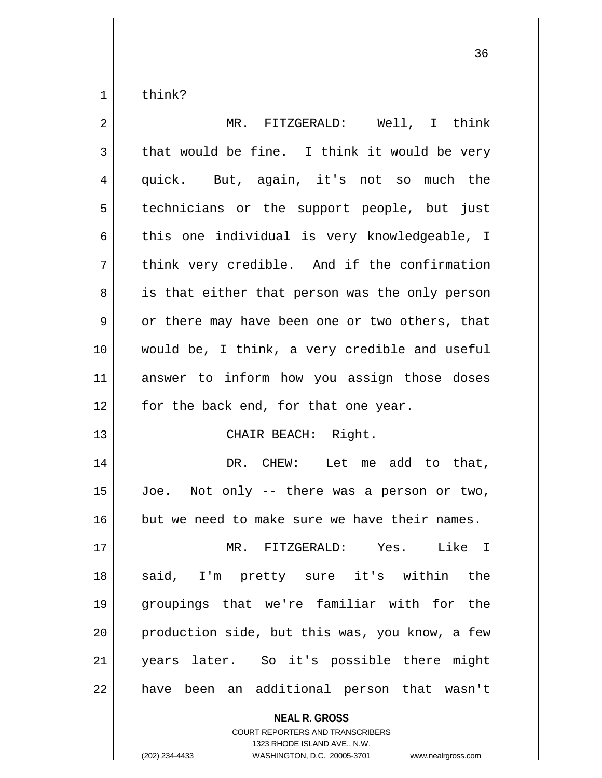$1 \parallel$  think?

| $\overline{2}$ | MR. FITZGERALD: Well, I think                  |
|----------------|------------------------------------------------|
| $\mathfrak{Z}$ | that would be fine. I think it would be very   |
| 4              | quick. But, again, it's not so much the        |
| 5              | technicians or the support people, but just    |
| 6              | this one individual is very knowledgeable, I   |
| 7              | think very credible. And if the confirmation   |
| 8              | is that either that person was the only person |
| $\mathsf 9$    | or there may have been one or two others, that |
| 10             | would be, I think, a very credible and useful  |
| 11             | answer to inform how you assign those doses    |
| 12             | for the back end, for that one year.           |
| 13             | CHAIR BEACH: Right.                            |
| 14             | DR. CHEW: Let me add to that,                  |
| 15             | Joe. Not only -- there was a person or two,    |
| 16             | but we need to make sure we have their names.  |
| 17             | MR. FITZGERALD: Yes.<br>Like I                 |
| 18             | said, I'm pretty sure it's within the          |
| 19             | groupings that we're familiar with for the     |
| 20             | production side, but this was, you know, a few |
| 21             | years later. So it's possible there might      |
| 22             | have been an additional person that wasn't     |

**NEAL R. GROSS** COURT REPORTERS AND TRANSCRIBERS

1323 RHODE ISLAND AVE., N.W.

(202) 234-4433 WASHINGTON, D.C. 20005-3701 www.nealrgross.com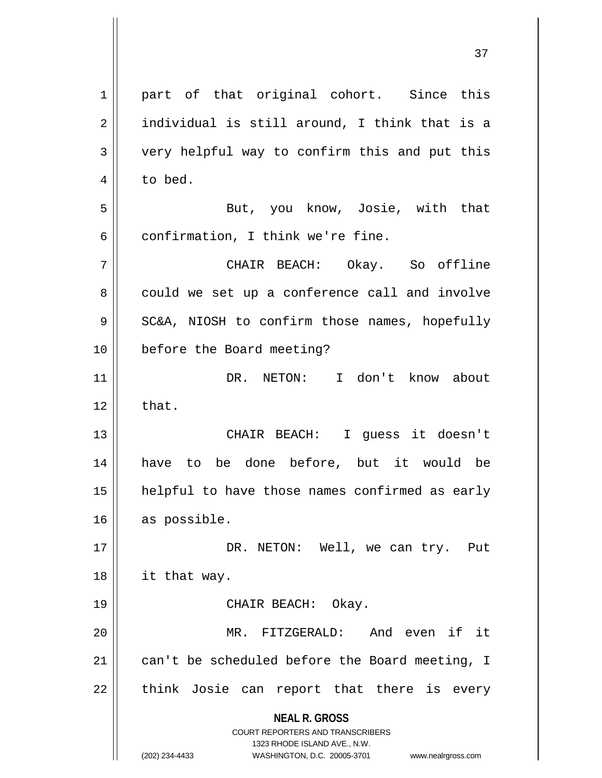**NEAL R. GROSS** COURT REPORTERS AND TRANSCRIBERS 1323 RHODE ISLAND AVE., N.W. (202) 234-4433 WASHINGTON, D.C. 20005-3701 www.nealrgross.com 1 || part of that original cohort. Since this  $2 \parallel$  individual is still around, I think that is a 3 || very helpful way to confirm this and put this 4 | to bed. 5 But, you know, Josie, with that  $6$  | confirmation, I think we're fine. 7 CHAIR BEACH: Okay. So offline 8 could we set up a conference call and involve  $9 \parallel$  SC&A, NIOSH to confirm those names, hopefully 10 || before the Board meeting? 11 DR. NETON: I don't know about  $12 \parallel$  that. 13 CHAIR BEACH: I guess it doesn't 14 have to be done before, but it would be 15 helpful to have those names confirmed as early 16 as possible. 17 || DR. NETON: Well, we can try. Put 18 it that way. 19 || CHAIR BEACH: Okay. 20 MR. FITZGERALD: And even if it 21  $\parallel$  can't be scheduled before the Board meeting, I  $22$  || think Josie can report that there is every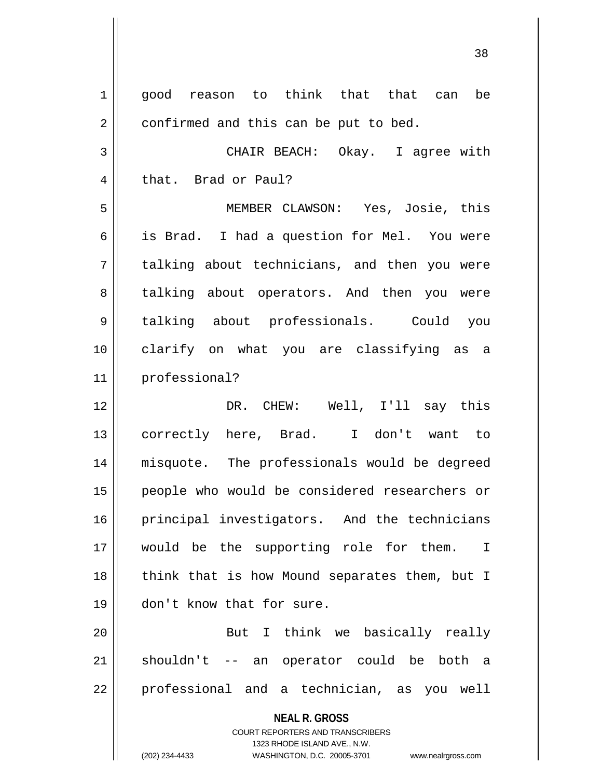**NEAL R. GROSS** COURT REPORTERS AND TRANSCRIBERS 1323 RHODE ISLAND AVE., N.W. (202) 234-4433 WASHINGTON, D.C. 20005-3701 www.nealrgross.com 1 good reason to think that that can be  $2 \parallel$  confirmed and this can be put to bed. 3 CHAIR BEACH: Okay. I agree with 4 that. Brad or Paul? 5 MEMBER CLAWSON: Yes, Josie, this 6 is Brad. I had a question for Mel. You were 7 || talking about technicians, and then you were 8 talking about operators. And then you were 9 talking about professionals. Could you 10 clarify on what you are classifying as a 11 professional? 12 DR. CHEW: Well, I'll say this 13 || correctly here, Brad. I don't want to 14 misquote. The professionals would be degreed 15 people who would be considered researchers or 16 || principal investigators. And the technicians 17 || would be the supporting role for them. I 18 || think that is how Mound separates them, but I 19 don't know that for sure. 20 || But I think we basically really 21 || shouldn't -- an operator could be both a 22 || professional and a technician, as you well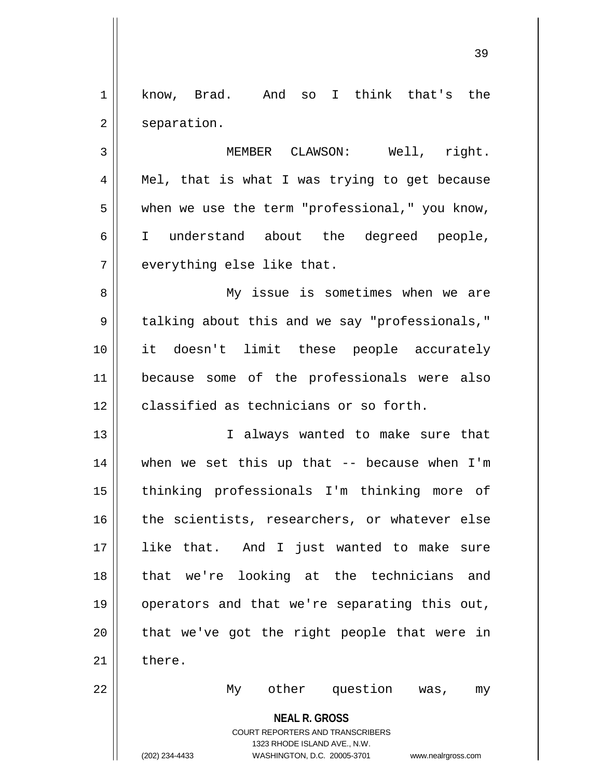1 know, Brad. And so I think that's the 2 | separation.

3 MEMBER CLAWSON: Well, right.  $4 \parallel$  Mel, that is what I was trying to get because  $5 \parallel$  when we use the term "professional," you know, 6 I understand about the degreed people,  $7$  || everything else like that.

8 || My issue is sometimes when we are 9 | talking about this and we say "professionals," 10 it doesn't limit these people accurately 11 because some of the professionals were also 12 **classified as technicians or so forth.** 

13 || I always wanted to make sure that 14 when we set this up that -- because when I'm 15 thinking professionals I'm thinking more of 16 the scientists, researchers, or whatever else 17 like that. And I just wanted to make sure 18 that we're looking at the technicians and 19 operators and that we're separating this out,  $20$  || that we've got the right people that were in  $21$   $\parallel$  there.

22 My other question was, my

**NEAL R. GROSS**

COURT REPORTERS AND TRANSCRIBERS 1323 RHODE ISLAND AVE., N.W. (202) 234-4433 WASHINGTON, D.C. 20005-3701 www.nealrgross.com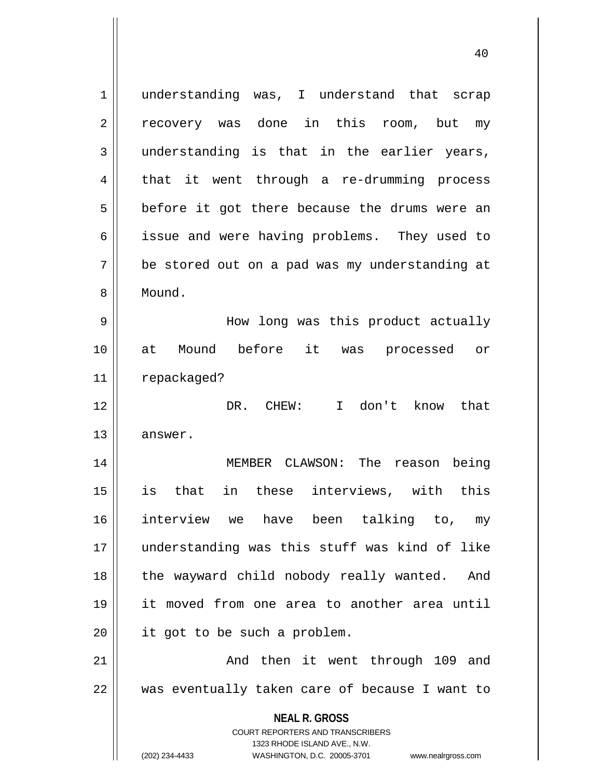**NEAL R. GROSS** COURT REPORTERS AND TRANSCRIBERS 1323 RHODE ISLAND AVE., N.W. (202) 234-4433 WASHINGTON, D.C. 20005-3701 www.nealrgross.com 1 || understanding was, I understand that scrap 2 recovery was done in this room, but my  $3 \parallel$  understanding is that in the earlier years, 4 || that it went through a re-drumming process  $5 \parallel$  before it got there because the drums were an 6 || issue and were having problems. They used to 7 be stored out on a pad was my understanding at 8 | Mound. 9 How long was this product actually 10 at Mound before it was processed or 11 | repackaged? 12 DR. CHEW: I don't know that 13 answer. 14 MEMBER CLAWSON: The reason being 15 is that in these interviews, with this 16 interview we have been talking to, my 17 understanding was this stuff was kind of like 18 || the wayward child nobody really wanted. And 19 it moved from one area to another area until 20 || it got to be such a problem. 21 || The Mand then it went through 109 and 22 was eventually taken care of because I want to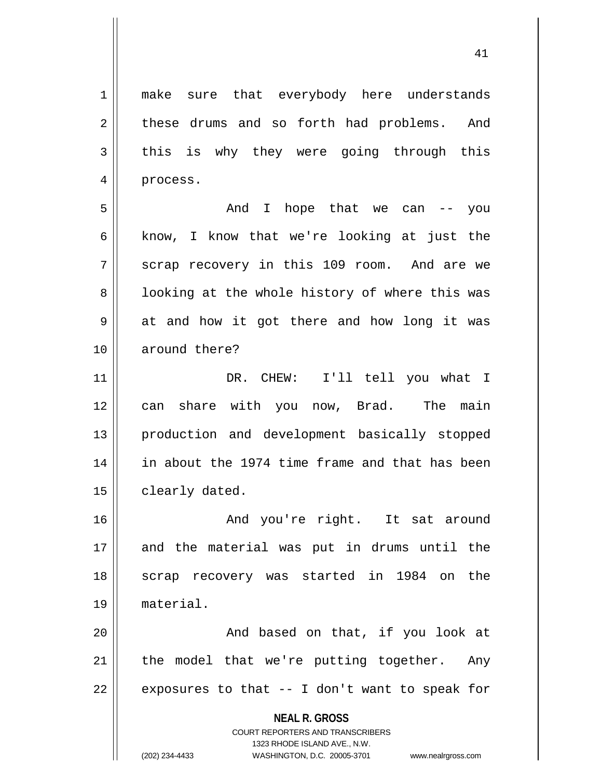1 || make sure that everybody here understands 2 || these drums and so forth had problems. And  $3 \parallel$  this is why they were going through this 4 | process.

5 And I hope that we can -- you 6 | know, I know that we're looking at just the 7 Scrap recovery in this 109 room. And are we 8 || looking at the whole history of where this was  $9 \parallel$  at and how it got there and how long it was 10 around there?

11 || DR. CHEW: I'll tell you what I 12 can share with you now, Brad. The main 13 production and development basically stopped 14 in about the 1974 time frame and that has been 15 | clearly dated.

16 And you're right. It sat around 17 and the material was put in drums until the 18 || scrap recovery was started in 1984 on the 19 material.

20 || The Contract And based on that, if you look at  $21$  | the model that we're putting together. Any 22  $\parallel$  exposures to that -- I don't want to speak for

> **NEAL R. GROSS** COURT REPORTERS AND TRANSCRIBERS 1323 RHODE ISLAND AVE., N.W. (202) 234-4433 WASHINGTON, D.C. 20005-3701 www.nealrgross.com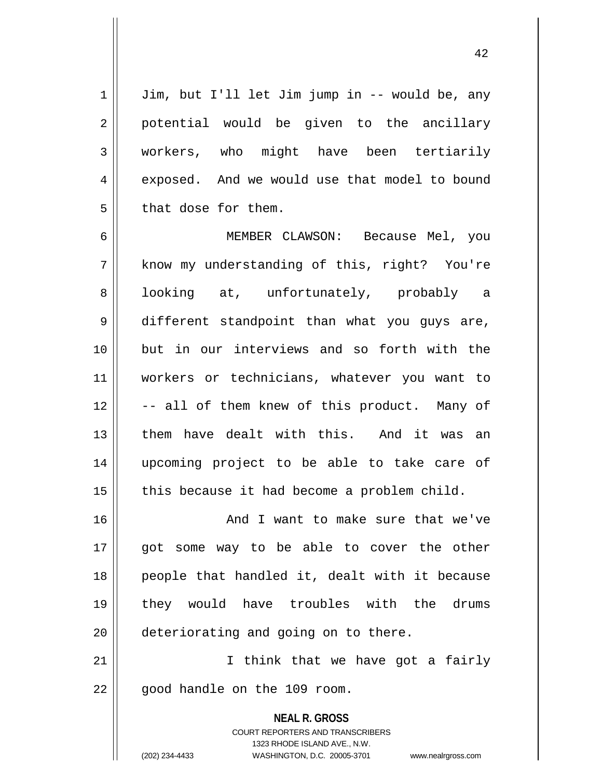$1 \parallel$  Jim, but I'll let Jim jump in -- would be, any 2 || potential would be given to the ancillary 3 | workers, who might have been tertiarily 4 exposed. And we would use that model to bound  $5 \parallel$  that dose for them.

6 MEMBER CLAWSON: Because Mel, you 7 || know my understanding of this, right? You're 8 || looking at, unfortunately, probably a 9 different standpoint than what you guys are, 10 but in our interviews and so forth with the 11 workers or technicians, whatever you want to 12 || -- all of them knew of this product. Many of 13 them have dealt with this. And it was an 14 upcoming project to be able to take care of  $15$  | this because it had become a problem child.

16 || And I want to make sure that we've 17 || got some way to be able to cover the other 18 || people that handled it, dealt with it because 19 they would have troubles with the drums 20  $\parallel$  deteriorating and going on to there.

21 || Think that we have got a fairly  $22$  |  $\sigma$  qood handle on the 109 room.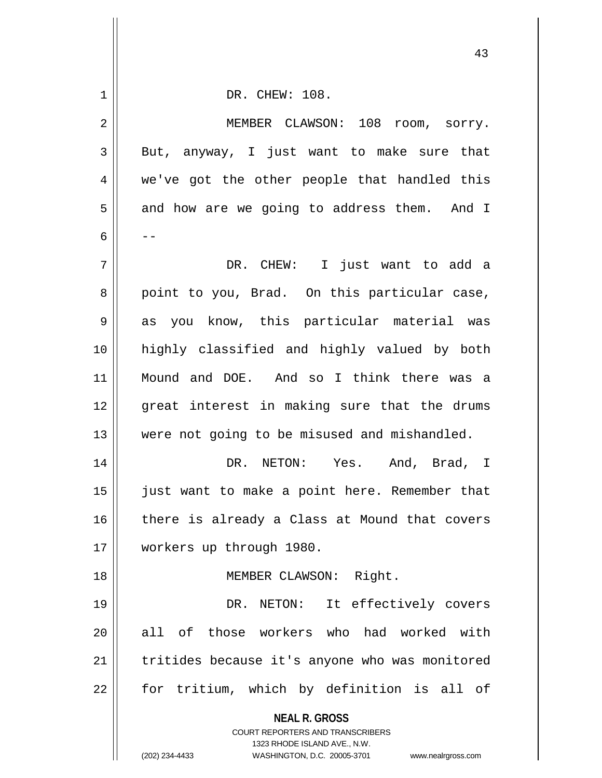|             | 43                                                                                                  |
|-------------|-----------------------------------------------------------------------------------------------------|
| $\mathbf 1$ | DR. CHEW: 108.                                                                                      |
| 2           | MEMBER CLAWSON: 108<br>room, sorry.                                                                 |
| 3           | But, anyway, I just want to make sure that                                                          |
| 4           | we've got the other people that handled this                                                        |
| 5           | and how are we going to address them. And I                                                         |
| 6           | - -                                                                                                 |
| 7           | DR. CHEW: I just want to add a                                                                      |
| 8           | point to you, Brad. On this particular case,                                                        |
| 9           | as you know, this particular material was                                                           |
| 10          | highly classified and highly valued by both                                                         |
| 11          | Mound and DOE. And so I think there was a                                                           |
| 12          | great interest in making sure that the drums                                                        |
| 13          | were not going to be misused and mishandled.                                                        |
| 14          | DR. NETON: Yes. And, Brad, I                                                                        |
| 15          | just want to make a point here. Remember that                                                       |
| 16          | there is already a Class at Mound that covers                                                       |
| 17          | workers up through 1980.                                                                            |
| 18          | MEMBER CLAWSON: Right.                                                                              |
| 19          | DR. NETON: It effectively covers                                                                    |
| 20          | all of those workers who had worked with                                                            |
| 21          | tritides because it's anyone who was monitored                                                      |
| 22          | for tritium, which by definition is all of                                                          |
|             | <b>NEAL R. GROSS</b>                                                                                |
|             | <b>COURT REPORTERS AND TRANSCRIBERS</b>                                                             |
|             | 1323 RHODE ISLAND AVE., N.W.<br>(202) 234-4433<br>WASHINGTON, D.C. 20005-3701<br>www.nealrgross.com |

 $\mathbf{I}$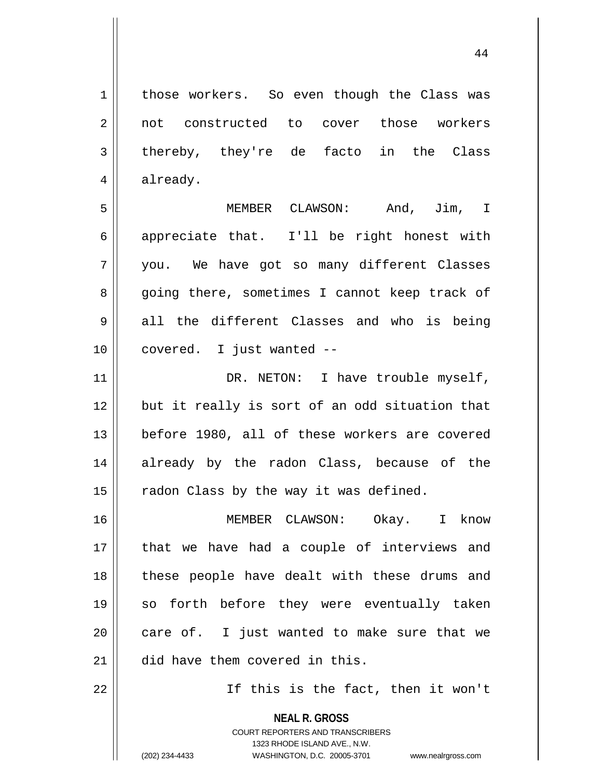44

1 | those workers. So even though the Class was 2 || not constructed to cover those workers  $3 \parallel$  thereby, they're de facto in the Class 4 | already. 5 MEMBER CLAWSON: And, Jim, I  $6 \parallel$  appreciate that. I'll be right honest with 7 you. We have got so many different Classes 8 going there, sometimes I cannot keep track of

 $9 \parallel$  all the different Classes and who is being 10 || covered. I just wanted --

11 || DR. NETON: I have trouble myself, 12 but it really is sort of an odd situation that 13 || before 1980, all of these workers are covered 14 already by the radon Class, because of the  $15$  | radon Class by the way it was defined.

16 MEMBER CLAWSON: Okay. I know 17 || that we have had a couple of interviews and 18 || these people have dealt with these drums and 19 so forth before they were eventually taken  $20$  || care of. I just wanted to make sure that we 21 || did have them covered in this.

22 || Tf this is the fact, then it won't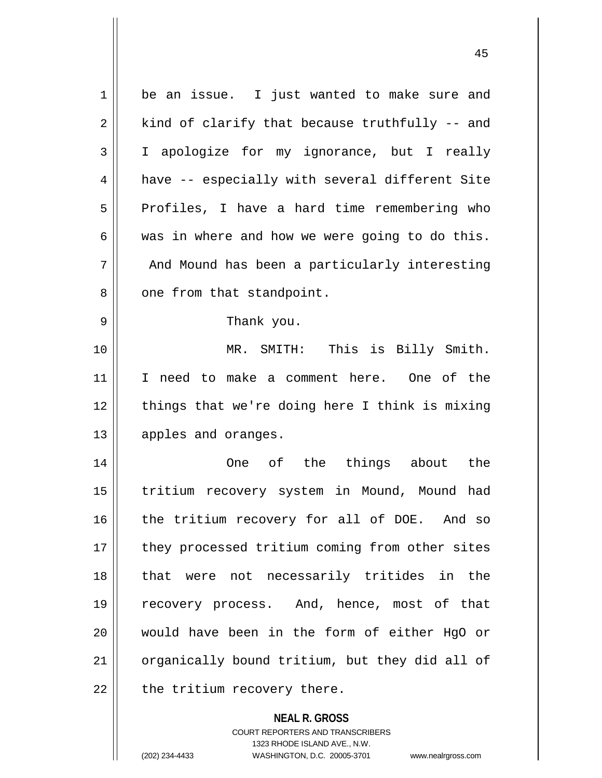| $\mathbf 1$ | be an issue. I just wanted to make sure and    |
|-------------|------------------------------------------------|
| 2           | kind of clarify that because truthfully -- and |
| 3           | I apologize for my ignorance, but I really     |
| 4           | have -- especially with several different Site |
| 5           | Profiles, I have a hard time remembering who   |
| 6           | was in where and how we were going to do this. |
| 7           | And Mound has been a particularly interesting  |
| 8           | one from that standpoint.                      |
| 9           | Thank you.                                     |
| 10          | MR. SMITH: This is Billy Smith.                |
| 11          | I need to make a comment here. One of the      |
| 12          | things that we're doing here I think is mixing |
| 13          | apples and oranges.                            |
| 14          | of the things about the<br>One                 |
| 15          | tritium recovery system in Mound, Mound had    |
| 16          | the tritium recovery for all of DOE. And so    |
| 17          | they processed tritium coming from other sites |
| 18          | were not necessarily tritides in the<br>that   |
| 19          | recovery process. And, hence, most of that     |
| 20          | would have been in the form of either HgO or   |
| 21          | organically bound tritium, but they did all of |
| 22          | the tritium recovery there.                    |
|             | <b>NEAL R. GROSS</b>                           |

COURT REPORTERS AND TRANSCRIBERS 1323 RHODE ISLAND AVE., N.W.

(202) 234-4433 WASHINGTON, D.C. 20005-3701 www.nealrgross.com

 $\mathsf{II}$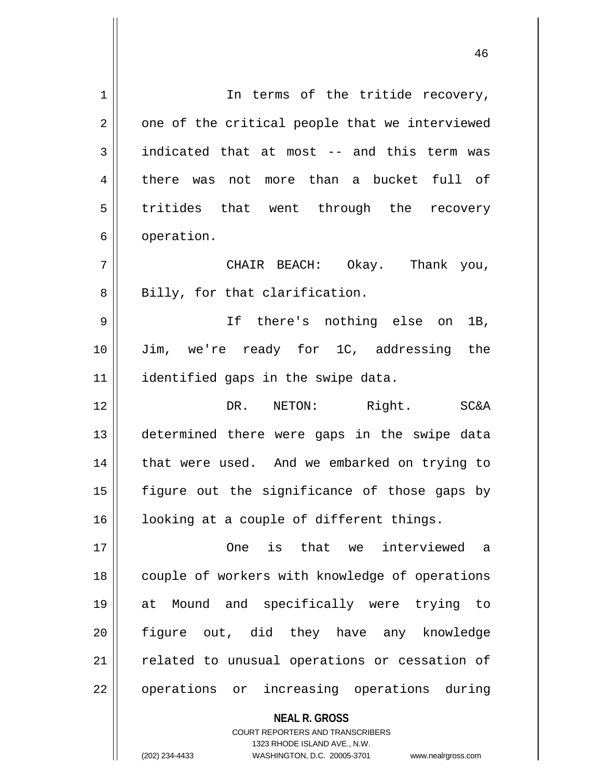1 || The terms of the tritide recovery,  $2 \parallel$  one of the critical people that we interviewed  $3 \parallel$  indicated that at most -- and this term was 4 there was not more than a bucket full of 5 tritides that went through the recovery 6 | operation. 7 CHAIR BEACH: Okay. Thank you,  $8 \parallel$  Billy, for that clarification. 9 If there's nothing else on 1B, 10 Jim, we're ready for 1C, addressing the 11 || identified gaps in the swipe data. 12 DR. NETON: Right. SC&A 13 determined there were gaps in the swipe data 14 || that were used. And we embarked on trying to 15  $\parallel$  figure out the significance of those gaps by 16 || looking at a couple of different things. 17 One is that we interviewed a 18 || couple of workers with knowledge of operations 19 at Mound and specifically were trying to 20 figure out, did they have any knowledge 21 || related to unusual operations or cessation of 22 || operations or increasing operations during

> COURT REPORTERS AND TRANSCRIBERS 1323 RHODE ISLAND AVE., N.W. (202) 234-4433 WASHINGTON, D.C. 20005-3701 www.nealrgross.com

**NEAL R. GROSS**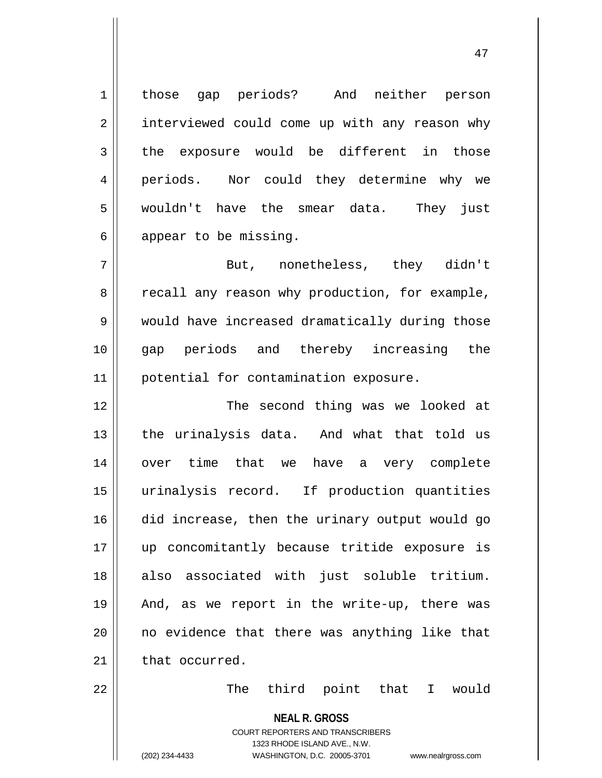1 those gap periods? And neither person 2 | interviewed could come up with any reason why  $3$  || the exposure would be different in those 4 || periods. Nor could they determine why we 5 wouldn't have the smear data. They just  $6 \parallel$  appear to be missing.

7 But, nonetheless, they didn't 8 || recall any reason why production, for example, 9 | would have increased dramatically during those 10 gap periods and thereby increasing the 11 | potential for contamination exposure.

12 || The second thing was we looked at 13 || the urinalysis data. And what that told us 14 over time that we have a very complete 15 urinalysis record. If production quantities 16 did increase, then the urinary output would go 17 up concomitantly because tritide exposure is 18 also associated with just soluble tritium. 19 || And, as we report in the write-up, there was  $20$  || no evidence that there was anything like that 21 that occurred.

22 The third point that I would

**NEAL R. GROSS**

COURT REPORTERS AND TRANSCRIBERS 1323 RHODE ISLAND AVE., N.W. (202) 234-4433 WASHINGTON, D.C. 20005-3701 www.nealrgross.com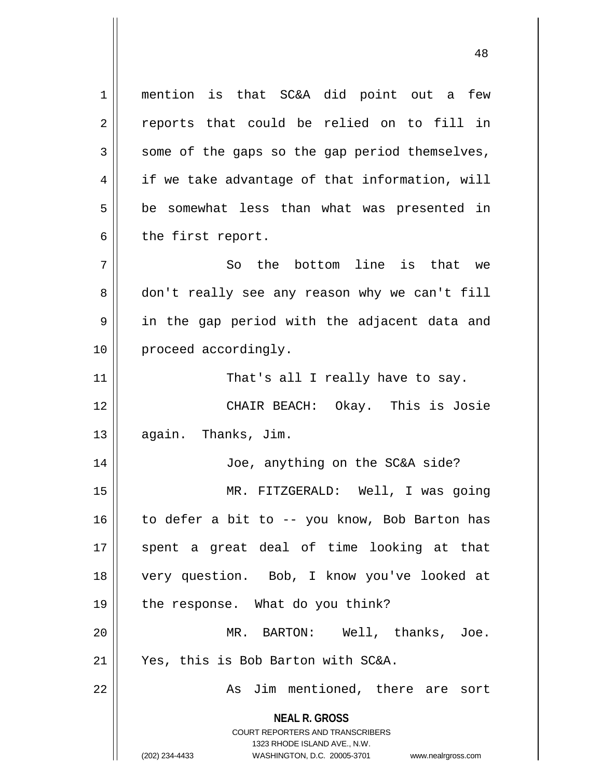**NEAL R. GROSS** COURT REPORTERS AND TRANSCRIBERS 1323 RHODE ISLAND AVE., N.W. (202) 234-4433 WASHINGTON, D.C. 20005-3701 www.nealrgross.com 1 mention is that SC&A did point out a few  $2 \parallel$  reports that could be relied on to fill in  $3 \parallel$  some of the gaps so the gap period themselves,  $4 \parallel$  if we take advantage of that information, will  $5 \parallel$  be somewhat less than what was presented in  $6 \parallel$  the first report.  $7 \parallel$  So the bottom line is that we 8 don't really see any reason why we can't fill 9 || in the gap period with the adjacent data and 10 || proceed accordingly. 11 || That's all I really have to say. 12 CHAIR BEACH: Okay. This is Josie 13 | again. Thanks, Jim. 14 Joe, anything on the SC&A side? 15 MR. FITZGERALD: Well, I was going 16 to defer a bit to -- you know, Bob Barton has 17 || spent a great deal of time looking at that 18 very question. Bob, I know you've looked at 19 || the response. What do you think? 20 MR. BARTON: Well, thanks, Joe. 21 Yes, this is Bob Barton with SC&A. 22 || As Jim mentioned, there are sort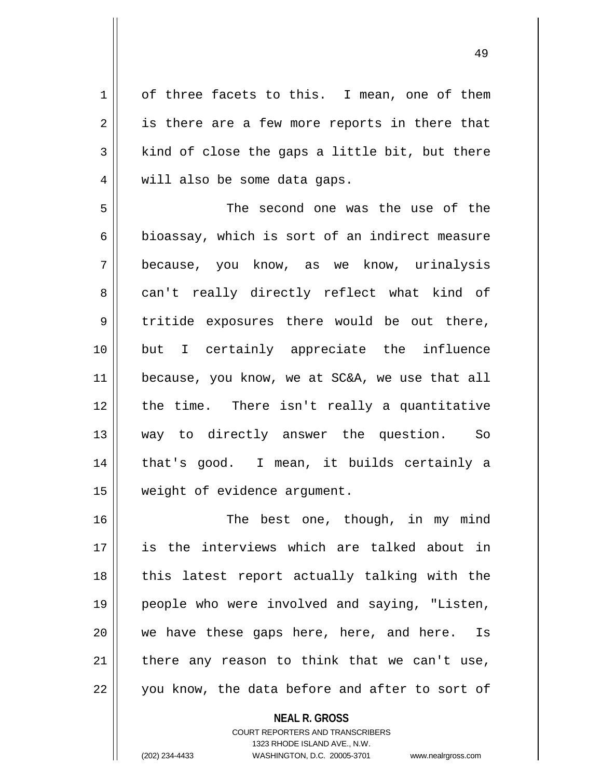1 | of three facets to this. I mean, one of them  $2 \parallel$  is there are a few more reports in there that  $3 \parallel$  kind of close the gaps a little bit, but there 4 || will also be some data gaps.

5 The second one was the use of the  $6$  || bioassay, which is sort of an indirect measure 7 because, you know, as we know, urinalysis 8 can't really directly reflect what kind of 9 tritide exposures there would be out there, 10 but I certainly appreciate the influence 11 | because, you know, we at SC&A, we use that all 12 || the time. There isn't really a quantitative 13 way to directly answer the question. So 14 || that's good. I mean, it builds certainly a 15 | weight of evidence argument.

16 || The best one, though, in my mind 17 is the interviews which are talked about in  $18$  || this latest report actually talking with the 19 people who were involved and saying, "Listen, 20 we have these gaps here, here, and here. Is  $21$  | there any reason to think that we can't use, 22 || you know, the data before and after to sort of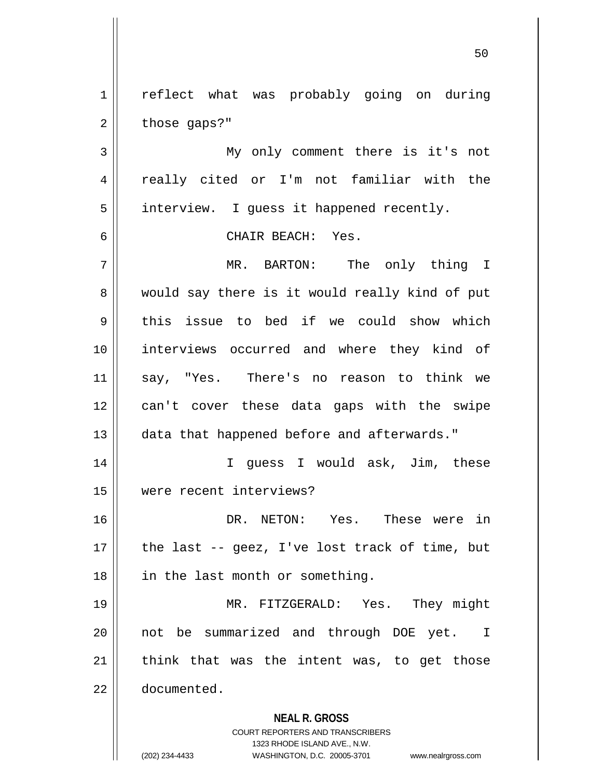1 || reflect what was probably going on during  $2 \parallel$  those gaps?"

3 My only comment there is it's not 4 || really cited or I'm not familiar with the 5 | interview. I guess it happened recently.

6 CHAIR BEACH: Yes.

7 MR. BARTON: The only thing I 8 would say there is it would really kind of put  $9 \parallel$  this issue to bed if we could show which 10 interviews occurred and where they kind of 11 say, "Yes. There's no reason to think we 12 can't cover these data gaps with the swipe 13 data that happened before and afterwards."

14 I guess I would ask, Jim, these 15 were recent interviews?

16 DR. NETON: Yes. These were in  $17$  || the last -- geez, I've lost track of time, but 18 || in the last month or something.

19 MR. FITZGERALD: Yes. They might 20 || not be summarized and through DOE yet. I  $21$  think that was the intent was, to get those 22 documented.

#### **NEAL R. GROSS**

COURT REPORTERS AND TRANSCRIBERS 1323 RHODE ISLAND AVE., N.W. (202) 234-4433 WASHINGTON, D.C. 20005-3701 www.nealrgross.com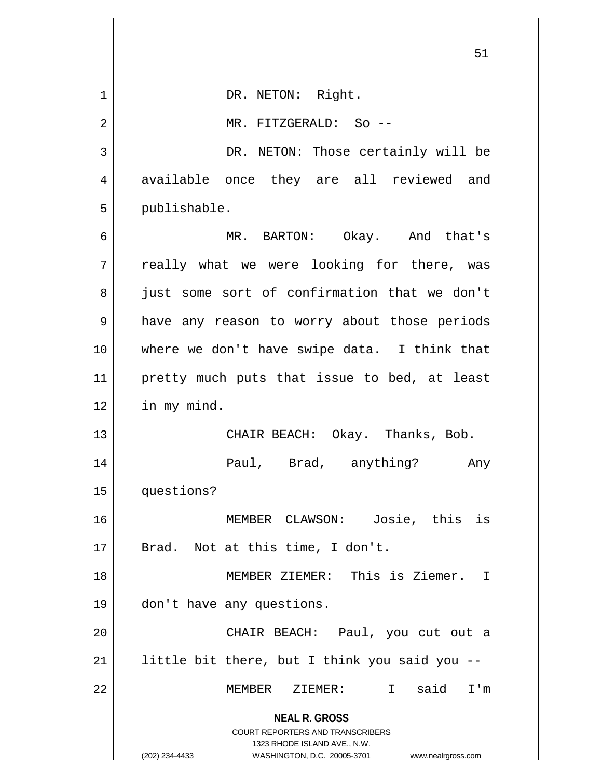|             | 51                                                                                                                                                                     |
|-------------|------------------------------------------------------------------------------------------------------------------------------------------------------------------------|
| $\mathbf 1$ | DR. NETON: Right.                                                                                                                                                      |
| 2           | MR. FITZGERALD: So --                                                                                                                                                  |
| 3           | DR. NETON: Those certainly will be                                                                                                                                     |
| 4           | available once they are all reviewed and                                                                                                                               |
| 5           | publishable.                                                                                                                                                           |
| 6           | MR. BARTON: Okay. And that's                                                                                                                                           |
| 7           | really what we were looking for there, was                                                                                                                             |
| 8           | just some sort of confirmation that we don't                                                                                                                           |
| 9           | have any reason to worry about those periods                                                                                                                           |
| 10          | where we don't have swipe data. I think that                                                                                                                           |
| 11          | pretty much puts that issue to bed, at least                                                                                                                           |
| 12          | in my mind.                                                                                                                                                            |
| 13          | CHAIR BEACH: Okay. Thanks, Bob.                                                                                                                                        |
| 14          | Paul, Brad, anything?<br>Any                                                                                                                                           |
| 15          | questions?                                                                                                                                                             |
| 16          | Josie, this is<br>MEMBER CLAWSON:                                                                                                                                      |
| 17          | Brad. Not at this time, I don't.                                                                                                                                       |
| 18          | MEMBER ZIEMER: This is Ziemer. I                                                                                                                                       |
| 19          | don't have any questions.                                                                                                                                              |
| 20          | CHAIR BEACH: Paul, you cut out a                                                                                                                                       |
| 21          | little bit there, but I think you said you --                                                                                                                          |
| 22          | I said I'm<br>MEMBER ZIEMER:                                                                                                                                           |
|             | <b>NEAL R. GROSS</b><br><b>COURT REPORTERS AND TRANSCRIBERS</b><br>1323 RHODE ISLAND AVE., N.W.<br>(202) 234-4433<br>WASHINGTON, D.C. 20005-3701<br>www.nealrgross.com |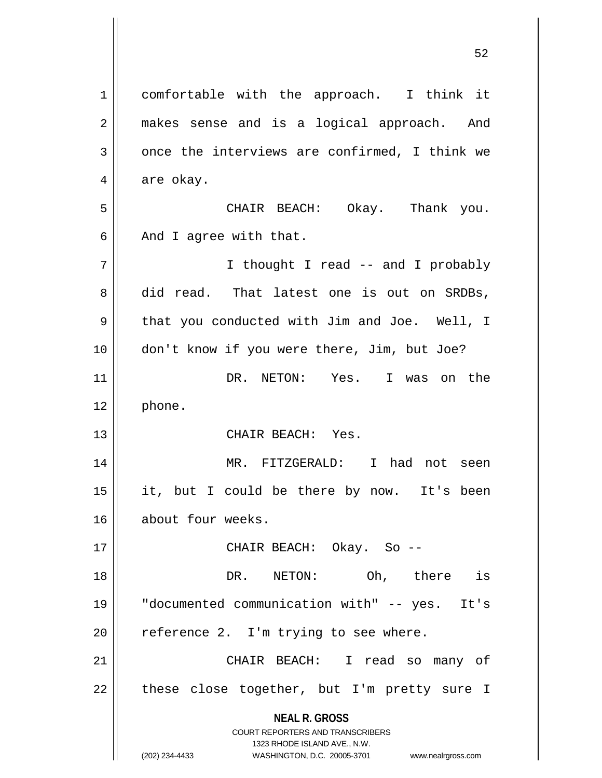**NEAL R. GROSS** COURT REPORTERS AND TRANSCRIBERS 1323 RHODE ISLAND AVE., N.W. (202) 234-4433 WASHINGTON, D.C. 20005-3701 www.nealrgross.com 1 comfortable with the approach. I think it 2 || makes sense and is a logical approach. And  $3 \parallel$  once the interviews are confirmed, I think we  $4 \parallel$  are okay. 5 CHAIR BEACH: Okay. Thank you.  $6 \parallel$  And I agree with that. 7 || I thought I read -- and I probably 8 did read. That latest one is out on SRDBs, 9 || that you conducted with Jim and Joe. Well, I 10 don't know if you were there, Jim, but Joe? 11 DR. NETON: Yes. I was on the 12 | phone. 13 CHAIR BEACH: Yes. 14 MR. FITZGERALD: I had not seen 15 it, but I could be there by now. It's been 16 about four weeks. 17 CHAIR BEACH: Okay. So -- 18 DR. NETON: Oh, there is 19 "documented communication with" -- yes. It's  $20$  | reference 2. I'm trying to see where. 21 CHAIR BEACH: I read so many of  $22$  | these close together, but I'm pretty sure I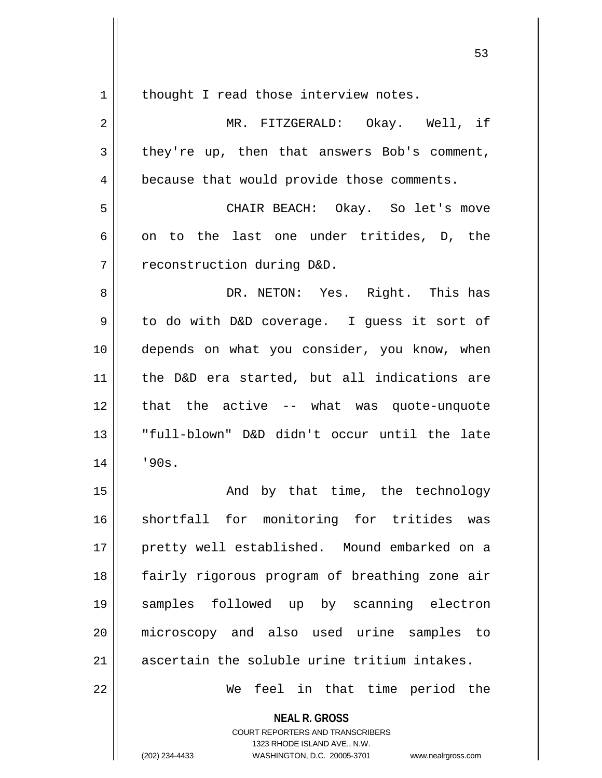**NEAL R. GROSS**  $1 \parallel$  thought I read those interview notes. 2 MR. FITZGERALD: Okay. Well, if  $3 \parallel$  they're up, then that answers Bob's comment, 4 | because that would provide those comments. 5 CHAIR BEACH: Okay. So let's move  $6 \parallel$  on to the last one under tritides, D, the 7 | reconstruction during D&D. 8 DR. NETON: Yes. Right. This has 9 || to do with D&D coverage. I guess it sort of 10 depends on what you consider, you know, when 11 the D&D era started, but all indications are 12 that the active -- what was quote-unquote 13 "full-blown" D&D didn't occur until the late  $14$  |  $\frac{190s}{ }$ . 15 || The Sand by that time, the technology 16 Shortfall for monitoring for tritides was 17 || pretty well established. Mound embarked on a 18 fairly rigorous program of breathing zone air 19 samples followed up by scanning electron 20 microscopy and also used urine samples to  $21$  ascertain the soluble urine tritium intakes. 22 We feel in that time period the

> COURT REPORTERS AND TRANSCRIBERS 1323 RHODE ISLAND AVE., N.W.

(202) 234-4433 WASHINGTON, D.C. 20005-3701 www.nealrgross.com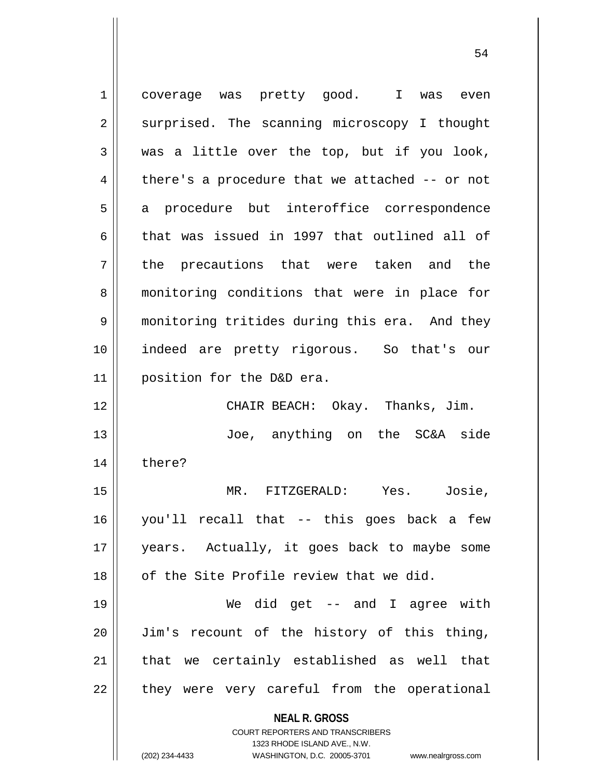**NEAL R. GROSS** COURT REPORTERS AND TRANSCRIBERS 1323 RHODE ISLAND AVE., N.W. (202) 234-4433 WASHINGTON, D.C. 20005-3701 www.nealrgross.com 1 coverage was pretty good. I was even 2 || surprised. The scanning microscopy I thought  $3 \parallel$  was a little over the top, but if you look,  $4 \parallel$  there's a procedure that we attached -- or not 5 || a procedure but interoffice correspondence 6 that was issued in 1997 that outlined all of 7 || the precautions that were taken and the 8 || monitoring conditions that were in place for 9 | monitoring tritides during this era. And they 10 indeed are pretty rigorous. So that's our 11 position for the D&D era. 12 CHAIR BEACH: Okay. Thanks, Jim. 13 Joe, anything on the SC&A side 14 | there? 15 MR. FITZGERALD: Yes. Josie, 16 you'll recall that -- this goes back a few 17 years. Actually, it goes back to maybe some 18 || of the Site Profile review that we did. 19 We did get -- and I agree with 20 Jim's recount of the history of this thing,  $21$  that we certainly established as well that  $22$  || they were very careful from the operational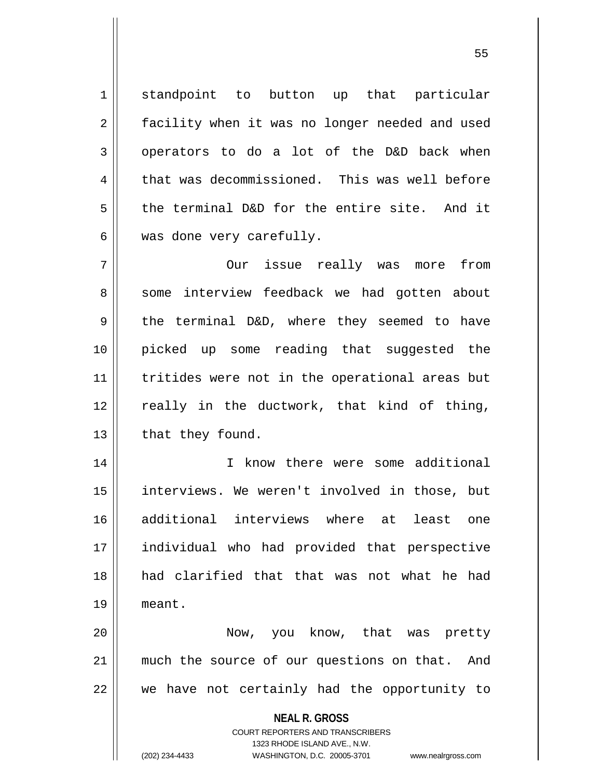1 standpoint to button up that particular 2 | facility when it was no longer needed and used 3 || operators to do a lot of the D&D back when  $4 \parallel$  that was decommissioned. This was well before  $5 \parallel$  the terminal D&D for the entire site. And it  $6 \parallel$  was done very carefully.

7 || Our issue really was more from 8 || some interview feedback we had gotten about  $9 \parallel$  the terminal D&D, where they seemed to have 10 picked up some reading that suggested the 11 || tritides were not in the operational areas but  $12$  really in the ductwork, that kind of thing,  $13$  | that they found.

14 || The Know there were some additional 15 || interviews. We weren't involved in those, but 16 additional interviews where at least one 17 individual who had provided that perspective 18 had clarified that that was not what he had 19 meant.

20 Now, you know, that was pretty 21 || much the source of our questions on that. And  $22$   $\parallel$  we have not certainly had the opportunity to

**NEAL R. GROSS**

COURT REPORTERS AND TRANSCRIBERS 1323 RHODE ISLAND AVE., N.W. (202) 234-4433 WASHINGTON, D.C. 20005-3701 www.nealrgross.com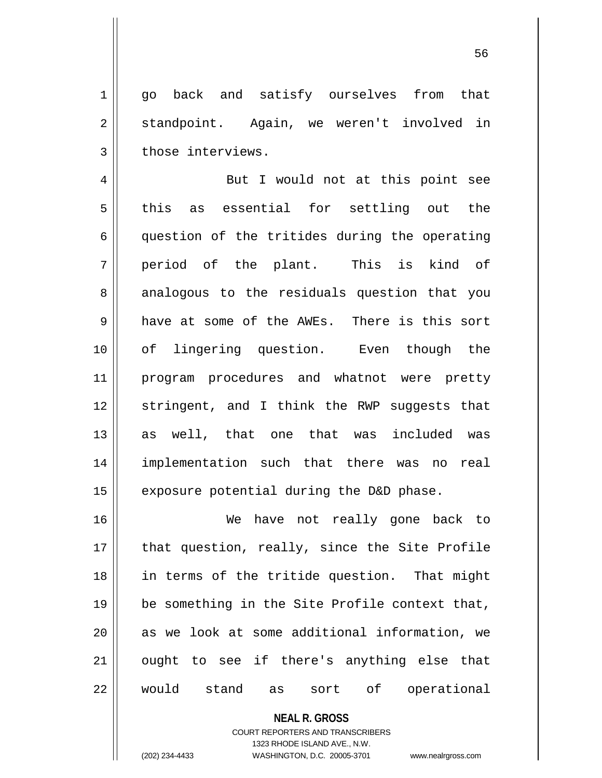1 qo back and satisfy ourselves from that 2 | standpoint. Again, we weren't involved in 3 | those interviews.

4 || But I would not at this point see  $5 \parallel$  this as essential for settling out the  $6 \parallel$  question of the tritides during the operating  $7 \parallel$  period of the plant. This is kind of 8 analogous to the residuals question that you 9 have at some of the AWEs. There is this sort 10 of lingering question. Even though the 11 program procedures and whatnot were pretty 12 || stringent, and I think the RWP suggests that 13 as well, that one that was included was 14 implementation such that there was no real 15  $\parallel$  exposure potential during the D&D phase.

16 We have not really gone back to 17 || that question, really, since the Site Profile 18 in terms of the tritide question. That might  $19$  | be something in the Site Profile context that,  $20$  || as we look at some additional information, we 21 || ought to see if there's anything else that 22 would stand as sort of operational

> **NEAL R. GROSS** COURT REPORTERS AND TRANSCRIBERS 1323 RHODE ISLAND AVE., N.W. (202) 234-4433 WASHINGTON, D.C. 20005-3701 www.nealrgross.com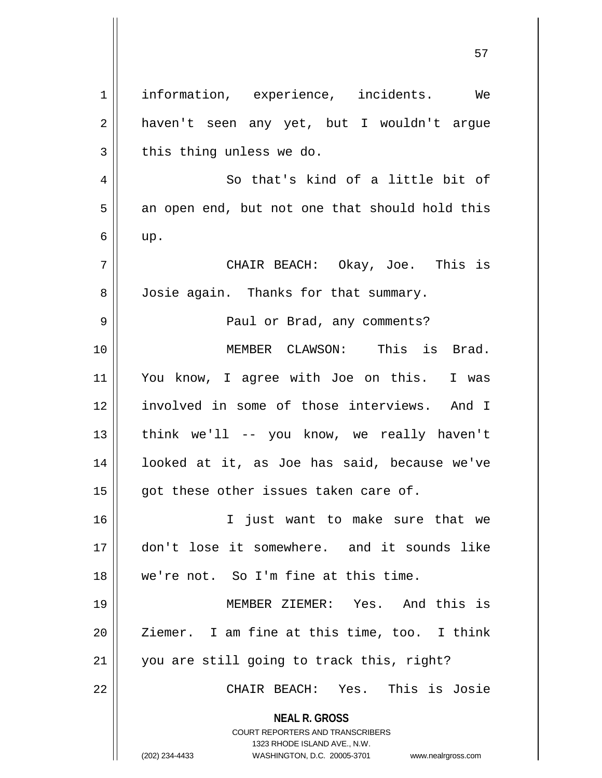**NEAL R. GROSS** COURT REPORTERS AND TRANSCRIBERS 1323 RHODE ISLAND AVE., N.W. (202) 234-4433 WASHINGTON, D.C. 20005-3701 www.nealrgross.com 1 || information, experience, incidents. We 2 || haven't seen any yet, but I wouldn't argue  $3 \parallel$  this thing unless we do. 4 || So that's kind of a little bit of  $5 \parallel$  an open end, but not one that should hold this  $6 \parallel$  up. 7 CHAIR BEACH: Okay, Joe. This is 8 | Josie again. Thanks for that summary. 9 Paul or Brad, any comments? 10 MEMBER CLAWSON: This is Brad. 11 You know, I agree with Joe on this. I was 12 involved in some of those interviews. And I 13  $\parallel$  think we'll -- you know, we really haven't 14 looked at it, as Joe has said, because we've  $15$  || got these other issues taken care of. 16 I just want to make sure that we 17 don't lose it somewhere. and it sounds like 18 we're not. So I'm fine at this time. 19 MEMBER ZIEMER: Yes. And this is 20 || Ziemer. I am fine at this time, too. I think 21 || you are still going to track this, right? 22 CHAIR BEACH: Yes. This is Josie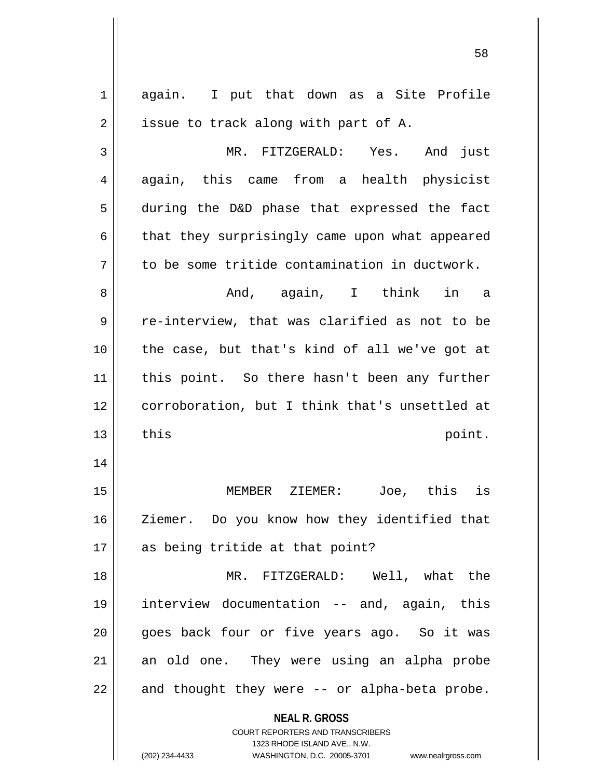| 1  | again. I put that down as a Site Profile                         |
|----|------------------------------------------------------------------|
| 2  | issue to track along with part of A.                             |
| 3  | MR. FITZGERALD: Yes. And just                                    |
| 4  | again, this came from a health physicist                         |
| 5  | during the D&D phase that expressed the fact                     |
| 6  | that they surprisingly came upon what appeared                   |
| 7  | to be some tritide contamination in ductwork.                    |
| 8  | And, again, I think in a                                         |
| 9  | re-interview, that was clarified as not to be                    |
| 10 | the case, but that's kind of all we've got at                    |
| 11 | this point. So there hasn't been any further                     |
| 12 | corroboration, but I think that's unsettled at                   |
| 13 | this<br>point.                                                   |
| 14 |                                                                  |
| 15 | MEMBER ZIEMER: Joe, this is                                      |
| 16 | Ziemer. Do you know how they identified that                     |
| 17 | as being tritide at that point?                                  |
| 18 | MR. FITZGERALD: Well, what the                                   |
| 19 | interview documentation -- and, again, this                      |
| 20 | goes back four or five years ago. So it was                      |
| 21 | an old one. They were using an alpha probe                       |
|    |                                                                  |
|    | and thought they were -- or alpha-beta probe.                    |
| 22 |                                                                  |
|    | <b>NEAL R. GROSS</b>                                             |
|    | COURT REPORTERS AND TRANSCRIBERS<br>1323 RHODE ISLAND AVE., N.W. |
|    |                                                                  |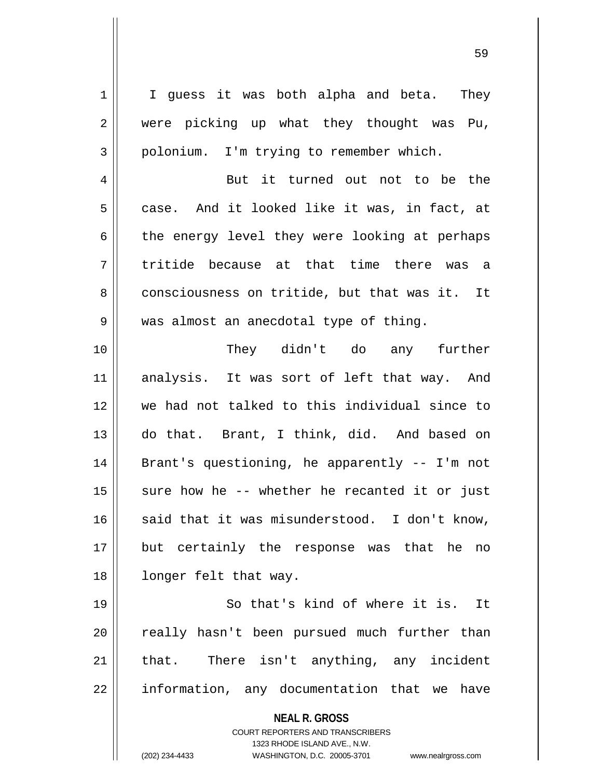**NEAL R. GROSS** COURT REPORTERS AND TRANSCRIBERS 1323 RHODE ISLAND AVE., N.W.  $1 \parallel$  I guess it was both alpha and beta. They 2 || were picking up what they thought was Pu, 3 | polonium. I'm trying to remember which. 4 || But it turned out not to be the  $5 \parallel$  case. And it looked like it was, in fact, at  $6 \parallel$  the energy level they were looking at perhaps  $7\parallel$  tritide because at that time there was a 8 consciousness on tritide, but that was it. It 9 || was almost an anecdotal type of thing. 10 They didn't do any further 11 analysis. It was sort of left that way. And 12 we had not talked to this individual since to 13 do that. Brant, I think, did. And based on 14 || Brant's questioning, he apparently -- I'm not 15  $\parallel$  sure how he -- whether he recanted it or just  $16$  said that it was misunderstood. I don't know, 17 but certainly the response was that he no 18 || longer felt that way. 19 || So that's kind of where it is. It 20 || really hasn't been pursued much further than 21 || that. There isn't anything, any incident 22 | information, any documentation that we have

(202) 234-4433 WASHINGTON, D.C. 20005-3701 www.nealrgross.com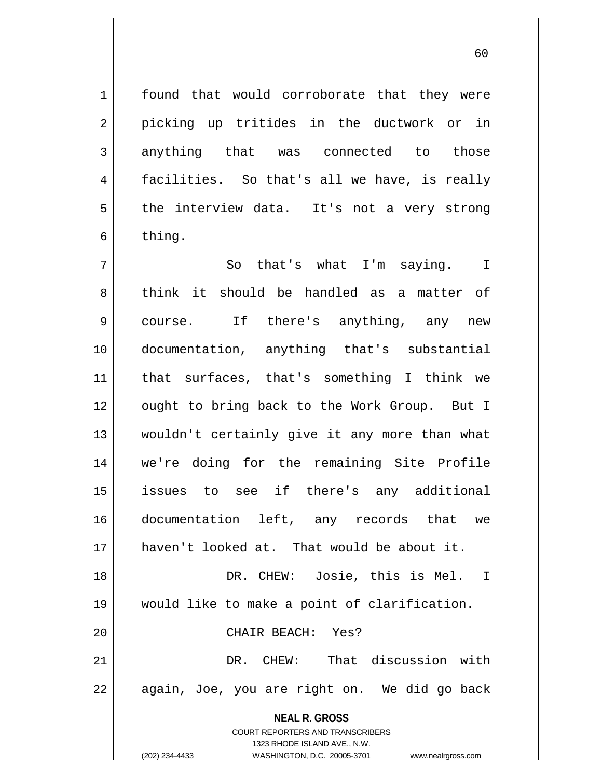1 | found that would corroborate that they were 2 || picking up tritides in the ductwork or in 3 anything that was connected to those 4 facilities. So that's all we have, is really  $5$  the interview data. It's not a very strong  $6 \parallel$  thing.

**NEAL R. GROSS** 7 So that's what I'm saying. I 8 think it should be handled as a matter of 9 || course. If there's anything, any new 10 documentation, anything that's substantial 11 that surfaces, that's something I think we 12 || ought to bring back to the Work Group. But I 13 wouldn't certainly give it any more than what 14 we're doing for the remaining Site Profile 15 issues to see if there's any additional 16 documentation left, any records that we 17 haven't looked at. That would be about it. 18 DR. CHEW: Josie, this is Mel. I 19 would like to make a point of clarification. 20 CHAIR BEACH: Yes? 21 DR. CHEW: That discussion with 22 || again, Joe, you are right on. We did go back

> COURT REPORTERS AND TRANSCRIBERS 1323 RHODE ISLAND AVE., N.W.

(202) 234-4433 WASHINGTON, D.C. 20005-3701 www.nealrgross.com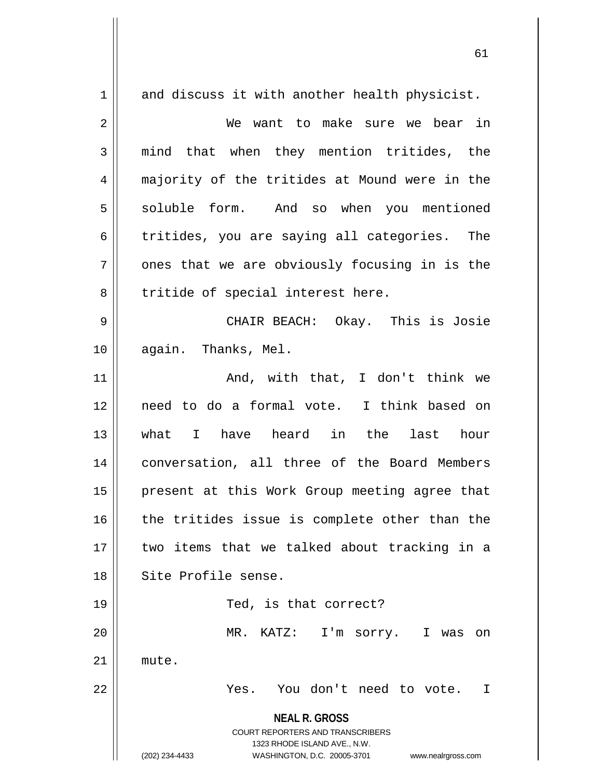**NEAL R. GROSS** COURT REPORTERS AND TRANSCRIBERS 1323 RHODE ISLAND AVE., N.W. (202) 234-4433 WASHINGTON, D.C. 20005-3701 www.nealrgross.com  $1 \parallel$  and discuss it with another health physicist. 2 We want to make sure we bear in 3 || mind that when they mention tritides, the 4 majority of the tritides at Mound were in the 5 Soluble form. And so when you mentioned 6 tritides, you are saying all categories. The  $7 \parallel$  ones that we are obviously focusing in is the  $8 \parallel$  tritide of special interest here. 9 CHAIR BEACH: Okay. This is Josie 10 || again. Thanks, Mel. 11 And, with that, I don't think we 12 need to do a formal vote. I think based on 13 what I have heard in the last hour 14 conversation, all three of the Board Members 15 || present at this Work Group meeting agree that 16 the tritides issue is complete other than the 17 two items that we talked about tracking in a 18 || Site Profile sense. 19 || Ted, is that correct? 20 MR. KATZ: I'm sorry. I was on 21 | mute. 22 Yes. You don't need to vote. I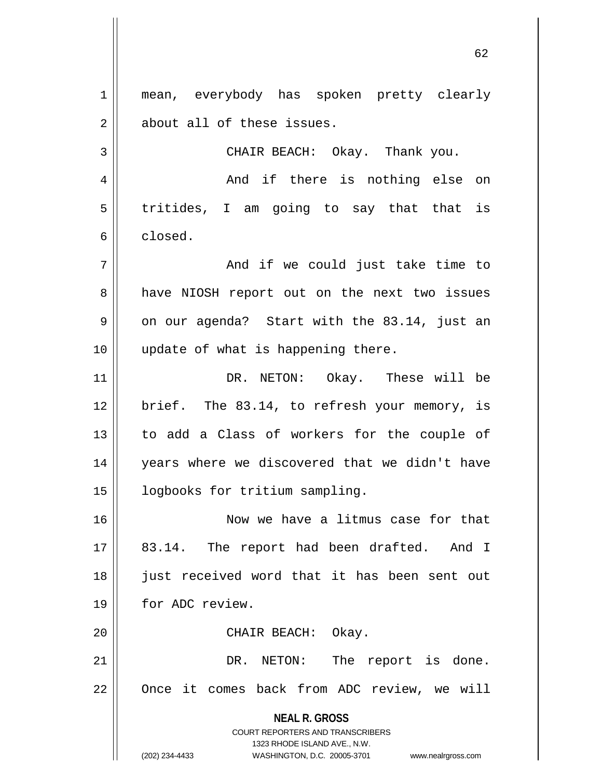**NEAL R. GROSS** 1 || mean, everybody has spoken pretty clearly 2 || about all of these issues. 3 CHAIR BEACH: Okay. Thank you. 4 And if there is nothing else on  $5 \parallel$  tritides, I am going to say that that is 6 closed. 7 And if we could just take time to 8 || have NIOSH report out on the next two issues  $9 \parallel$  on our agenda? Start with the 83.14, just an 10 || update of what is happening there. 11 DR. NETON: Okay. These will be 12 || brief. The 83.14, to refresh your memory, is 13 || to add a Class of workers for the couple of 14 || years where we discovered that we didn't have 15 | logbooks for tritium sampling. 16 || Now we have a litmus case for that 17 || 83.14. The report had been drafted. And I 18 || just received word that it has been sent out 19 || for ADC review. 20 || CHAIR BEACH: Okay. 21 || DR. NETON: The report is done. 22 | Once it comes back from ADC review, we will

> COURT REPORTERS AND TRANSCRIBERS 1323 RHODE ISLAND AVE., N.W.

(202) 234-4433 WASHINGTON, D.C. 20005-3701 www.nealrgross.com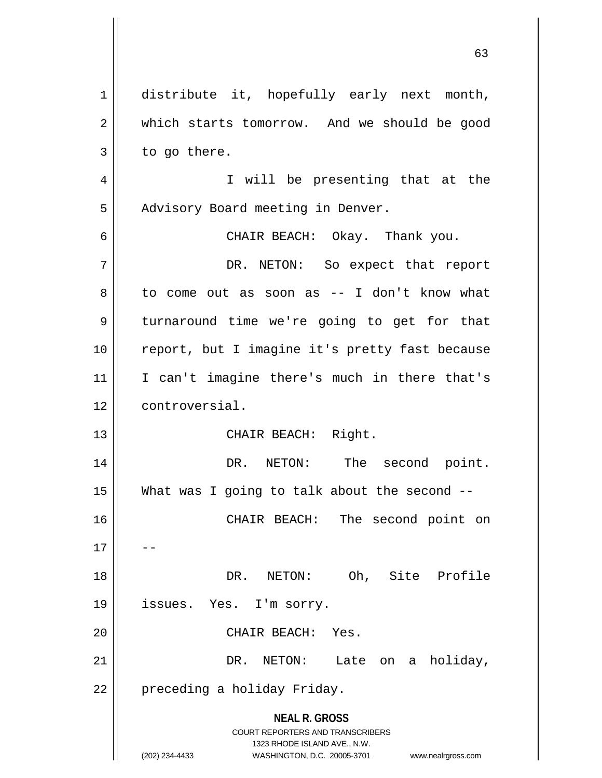**NEAL R. GROSS** COURT REPORTERS AND TRANSCRIBERS 1323 RHODE ISLAND AVE., N.W. (202) 234-4433 WASHINGTON, D.C. 20005-3701 www.nealrgross.com 1 distribute it, hopefully early next month, 2 | which starts tomorrow. And we should be good  $3 \parallel$  to go there. 4 || I will be presenting that at the 5 | Advisory Board meeting in Denver. 6 CHAIR BEACH: Okay. Thank you. 7 DR. NETON: So expect that report  $8 \parallel$  to come out as soon as -- I don't know what 9 || turnaround time we're going to get for that 10 || report, but I imagine it's pretty fast because 11 I can't imagine there's much in there that's 12 controversial. 13 || CHAIR BEACH: Right. 14 DR. NETON: The second point. 15  $\parallel$  What was I going to talk about the second  $-$ 16 CHAIR BEACH: The second point on  $17$ 18 DR. NETON: Oh, Site Profile 19 || issues. Yes. I'm sorry. 20 CHAIR BEACH: Yes. 21 DR. NETON: Late on a holiday, 22 | preceding a holiday Friday.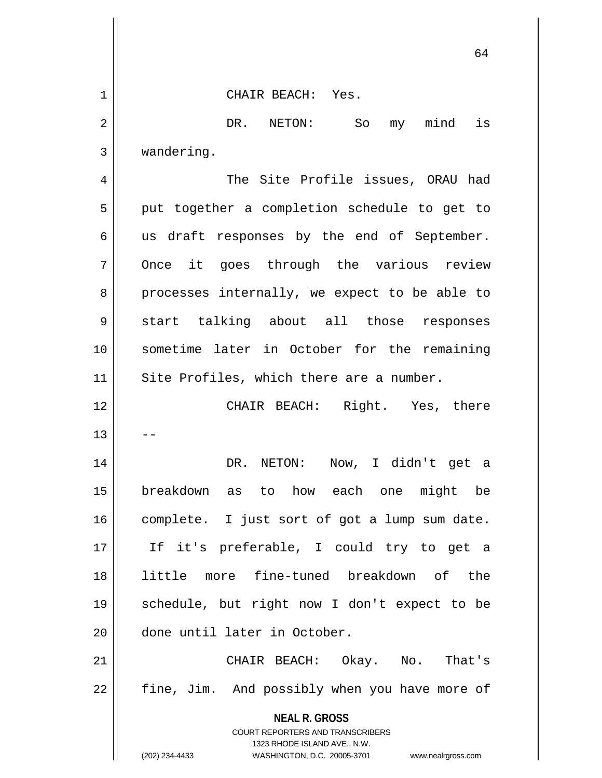**NEAL R. GROSS** COURT REPORTERS AND TRANSCRIBERS 1323 RHODE ISLAND AVE., N.W. (202) 234-4433 WASHINGTON, D.C. 20005-3701 www.nealrgross.com 1 CHAIR BEACH: Yes. 2 DR. NETON: So my mind is 3 wandering. 4 The Site Profile issues, ORAU had  $5 \parallel$  put together a completion schedule to get to  $6 \parallel$  us draft responses by the end of September. 7 || Once it goes through the various review  $8 \parallel$  processes internally, we expect to be able to 9 start talking about all those responses 10 sometime later in October for the remaining 11 || Site Profiles, which there are a number. 12 CHAIR BEACH: Right. Yes, there  $13$ 14 DR. NETON: Now, I didn't get a 15 breakdown as to how each one might be 16 | complete. I just sort of got a lump sum date. 17 If it's preferable, I could try to get a 18 little more fine-tuned breakdown of the 19 schedule, but right now I don't expect to be 20 done until later in October. 21 CHAIR BEACH: Okay. No. That's 22 || fine, Jim. And possibly when you have more of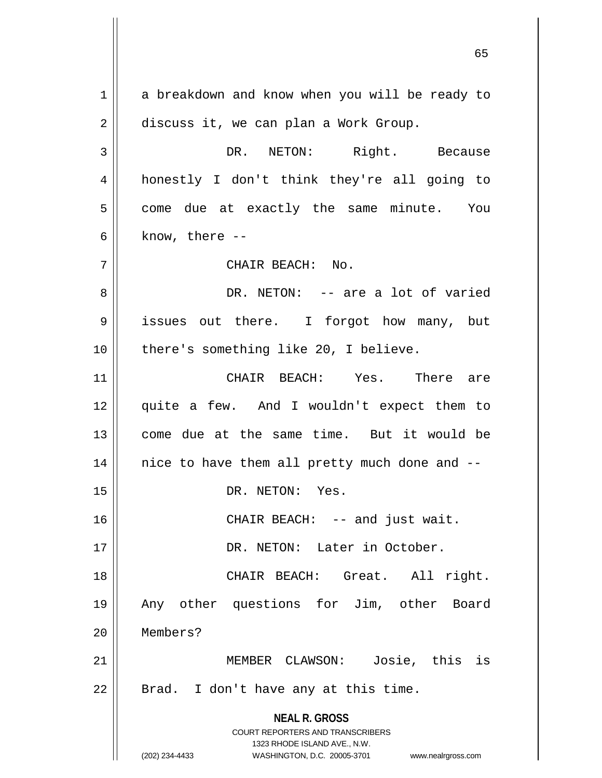**NEAL R. GROSS** COURT REPORTERS AND TRANSCRIBERS 1323 RHODE ISLAND AVE., N.W. (202) 234-4433 WASHINGTON, D.C. 20005-3701 www.nealrgross.com 1 a breakdown and know when you will be ready to 2 discuss it, we can plan a Work Group. 3 DR. NETON: Right. Because 4 honestly I don't think they're all going to  $5 \parallel$  come due at exactly the same minute. You  $6 \parallel$  know, there --7 CHAIR BEACH: No. 8 DR. NETON: -- are a lot of varied 9 issues out there. I forgot how many, but 10 || there's something like 20, I believe. 11 CHAIR BEACH: Yes. There are 12 quite a few. And I wouldn't expect them to 13 come due at the same time. But it would be  $14$  || nice to have them all pretty much done and  $-$ 15 || DR. NETON: Yes. 16 || CHAIR BEACH: -- and just wait. 17 DR. NETON: Later in October. 18 CHAIR BEACH: Great. All right. 19 Any other questions for Jim, other Board 20 Members? 21 || **MEMBER CLAWSON:** Josie, this is  $22$  | Brad. I don't have any at this time.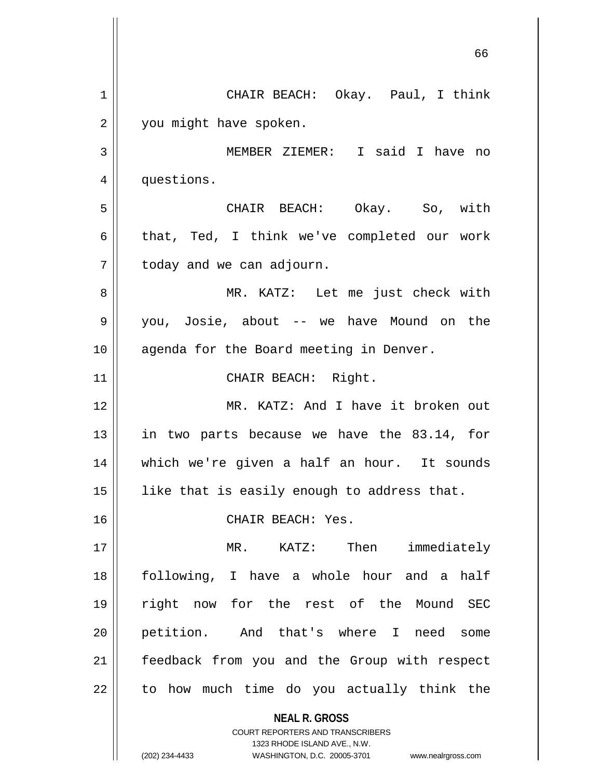**NEAL R. GROSS** COURT REPORTERS AND TRANSCRIBERS 66 1 CHAIR BEACH: Okay. Paul, I think 2 | you might have spoken. 3 MEMBER ZIEMER: I said I have no 4 | questions. 5 CHAIR BEACH: Okay. So, with 6 | that, Ted, I think we've completed our work  $7$  | today and we can adjourn. 8 MR. KATZ: Let me just check with 9 you, Josie, about -- we have Mound on the 10 || agenda for the Board meeting in Denver. 11 || CHAIR BEACH: Right. 12 MR. KATZ: And I have it broken out 13  $\parallel$  in two parts because we have the 83.14, for 14 which we're given a half an hour. It sounds 15  $\parallel$  like that is easily enough to address that. 16 CHAIR BEACH: Yes. 17 || MR. KATZ: Then immediately 18 following, I have a whole hour and a half 19 right now for the rest of the Mound SEC 20 petition. And that's where I need some 21 | feedback from you and the Group with respect  $22$  || to how much time do you actually think the

1323 RHODE ISLAND AVE., N.W.

(202) 234-4433 WASHINGTON, D.C. 20005-3701 www.nealrgross.com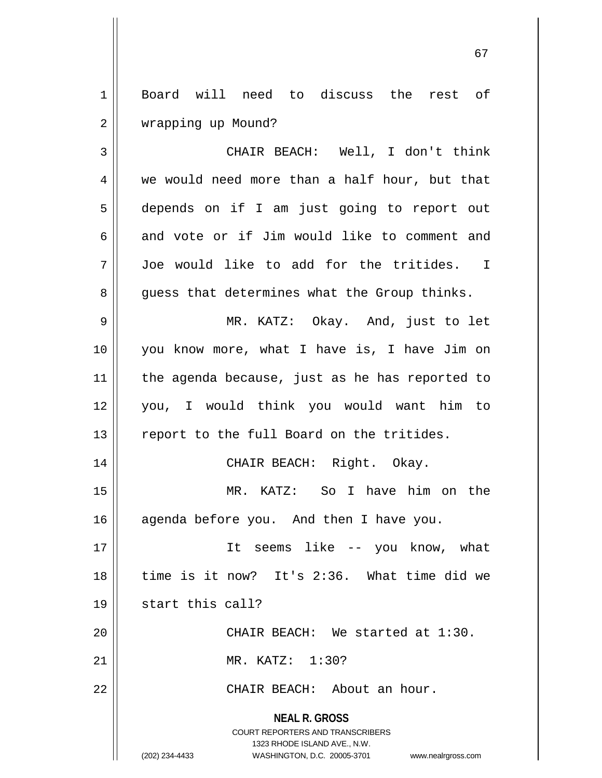1 Board will need to discuss the rest of 2 | wrapping up Mound?

3 CHAIR BEACH: Well, I don't think  $4 \parallel$  we would need more than a half hour, but that 5 depends on if I am just going to report out 6 and vote or if Jim would like to comment and 7 Joe would like to add for the tritides. I 8 || guess that determines what the Group thinks.

9 MR. KATZ: Okay. And, just to let 10 you know more, what I have is, I have Jim on 11 || the agenda because, just as he has reported to 12 you, I would think you would want him to 13 || report to the full Board on the tritides.

14 CHAIR BEACH: Right. Okay.

15 MR. KATZ: So I have him on the 16 || agenda before you. And then I have you.

17 || It seems like -- you know, what 18 time is it now? It's 2:36. What time did we 19 || start this call? 20 CHAIR BEACH: We started at 1:30.

21 MR. KATZ: 1:30?

22 CHAIR BEACH: About an hour.

**NEAL R. GROSS** COURT REPORTERS AND TRANSCRIBERS

1323 RHODE ISLAND AVE., N.W.

(202) 234-4433 WASHINGTON, D.C. 20005-3701 www.nealrgross.com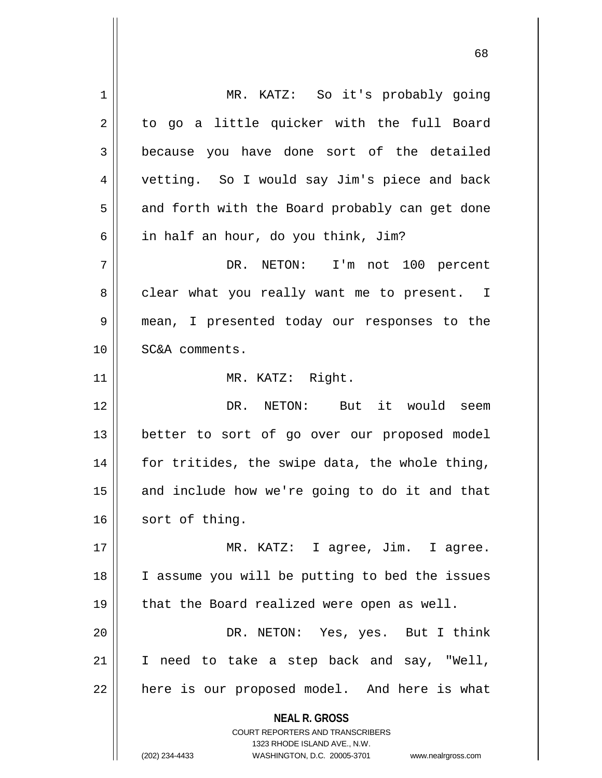**NEAL R. GROSS** COURT REPORTERS AND TRANSCRIBERS 1323 RHODE ISLAND AVE., N.W. (202) 234-4433 WASHINGTON, D.C. 20005-3701 www.nealrgross.com 1 || MR. KATZ: So it's probably going  $2 \parallel$  to go a little quicker with the full Board 3 because you have done sort of the detailed 4 || vetting. So I would say Jim's piece and back  $5 \parallel$  and forth with the Board probably can get done  $6 \parallel$  in half an hour, do you think, Jim? 7 DR. NETON: I'm not 100 percent 8 clear what you really want me to present. I 9 mean, I presented today our responses to the 10 SC&A comments. 11 || MR. KATZ: Right. 12 DR. NETON: But it would seem 13 || better to sort of go over our proposed model  $14$  | for tritides, the swipe data, the whole thing,  $15$  and include how we're going to do it and that 16 sort of thing. 17 MR. KATZ: I agree, Jim. I agree. 18 || I assume you will be putting to bed the issues 19 || that the Board realized were open as well. 20 DR. NETON: Yes, yes. But I think  $21$  I need to take a step back and say, "Well,  $22$  | here is our proposed model. And here is what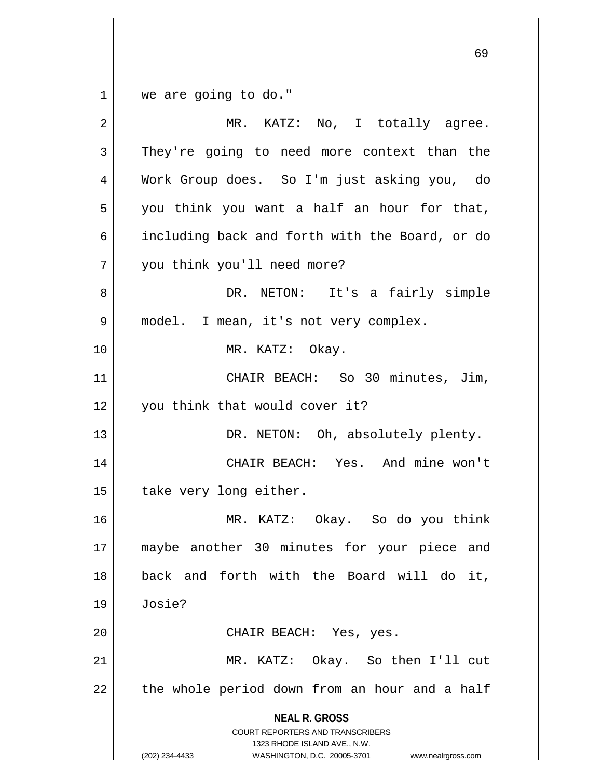$1 \parallel$  we are going to do."

| $\overline{2}$ | MR. KATZ: No, I totally agree.                                                                                                                                         |
|----------------|------------------------------------------------------------------------------------------------------------------------------------------------------------------------|
| 3              | They're going to need more context than the                                                                                                                            |
| 4              | Work Group does. So I'm just asking you, do                                                                                                                            |
| 5              | you think you want a half an hour for that,                                                                                                                            |
| 6              | including back and forth with the Board, or do                                                                                                                         |
| 7              | you think you'll need more?                                                                                                                                            |
| 8              | DR. NETON:<br>It's a fairly simple                                                                                                                                     |
| 9              | model. I mean, it's not very complex.                                                                                                                                  |
| 10             | MR. KATZ: Okay.                                                                                                                                                        |
| 11             | CHAIR BEACH: So 30 minutes, Jim,                                                                                                                                       |
| 12             | you think that would cover it?                                                                                                                                         |
| 13             | DR. NETON: Oh, absolutely plenty.                                                                                                                                      |
| 14             | CHAIR BEACH: Yes. And mine won't                                                                                                                                       |
| 15             | take very long either.                                                                                                                                                 |
| 16             | MR. KATZ: Okay. So do you think                                                                                                                                        |
| 17             | maybe another 30 minutes for your piece and                                                                                                                            |
| 18             | back and forth with the Board will do<br>it,                                                                                                                           |
| 19             | Josie?                                                                                                                                                                 |
| 20             | CHAIR BEACH: Yes, yes.                                                                                                                                                 |
| 21             | MR. KATZ: Okay. So then I'll cut                                                                                                                                       |
| 22             | the whole period down from an hour and a half                                                                                                                          |
|                | <b>NEAL R. GROSS</b><br><b>COURT REPORTERS AND TRANSCRIBERS</b><br>1323 RHODE ISLAND AVE., N.W.<br>(202) 234-4433<br>WASHINGTON, D.C. 20005-3701<br>www.nealrgross.com |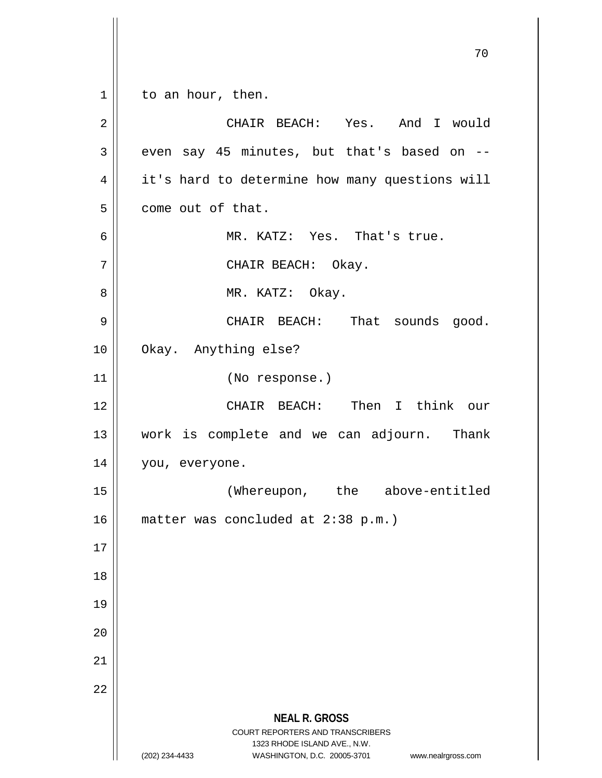**NEAL R. GROSS** COURT REPORTERS AND TRANSCRIBERS 1323 RHODE ISLAND AVE., N.W. (202) 234-4433 WASHINGTON, D.C. 20005-3701 www.nealrgross.com 70  $1 \parallel$  to an hour, then. 2 CHAIR BEACH: Yes. And I would  $3 \parallel$  even say 45 minutes, but that's based on  $-$ 4 | it's hard to determine how many questions will  $5 \parallel$  come out of that. 6 MR. KATZ: Yes. That's true. 7 || CHAIR BEACH: Okay. 8 || MR. KATZ: Okay. 9 CHAIR BEACH: That sounds good. 10 Okay. Anything else? 11 (No response.) 12 CHAIR BEACH: Then I think our 13 || work is complete and we can adjourn. Thank 14 | you, everyone. 15 (Whereupon, the above-entitled 16 matter was concluded at 2:38 p.m.) 17 18 19 20 21 22